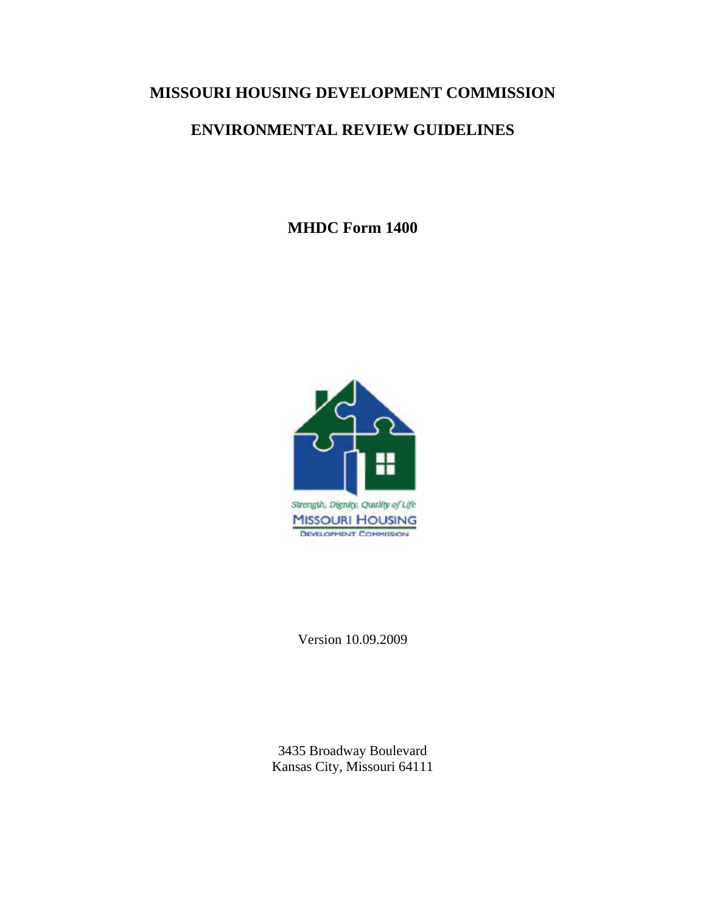# **MISSOURI HOUSING DEVELOPMENT COMMISSION**

# **ENVIRONMENTAL REVIEW GUIDELINES**

**MHDC Form 1400** 



Version 10.09.2009

3435 Broadway Boulevard Kansas City, Missouri 64111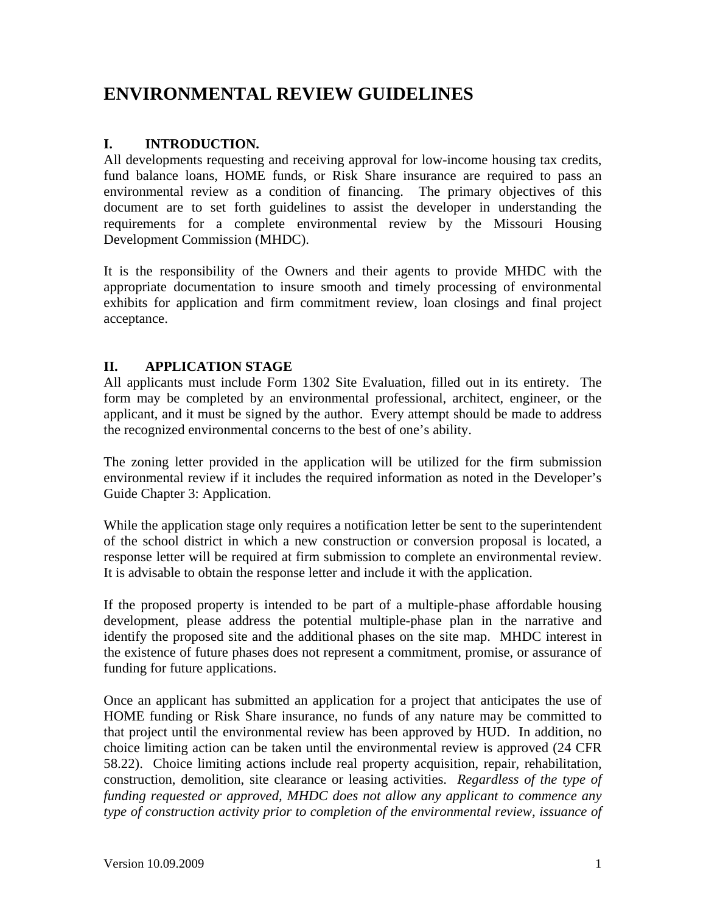# **ENVIRONMENTAL REVIEW GUIDELINES**

# **I. INTRODUCTION.**

All developments requesting and receiving approval for low-income housing tax credits, fund balance loans, HOME funds, or Risk Share insurance are required to pass an environmental review as a condition of financing. The primary objectives of this document are to set forth guidelines to assist the developer in understanding the requirements for a complete environmental review by the Missouri Housing Development Commission (MHDC).

It is the responsibility of the Owners and their agents to provide MHDC with the appropriate documentation to insure smooth and timely processing of environmental exhibits for application and firm commitment review, loan closings and final project acceptance.

# **II. APPLICATION STAGE**

All applicants must include Form 1302 Site Evaluation, filled out in its entirety. The form may be completed by an environmental professional, architect, engineer, or the applicant, and it must be signed by the author. Every attempt should be made to address the recognized environmental concerns to the best of one's ability.

The zoning letter provided in the application will be utilized for the firm submission environmental review if it includes the required information as noted in the Developer's Guide Chapter 3: Application.

While the application stage only requires a notification letter be sent to the superintendent of the school district in which a new construction or conversion proposal is located, a response letter will be required at firm submission to complete an environmental review. It is advisable to obtain the response letter and include it with the application.

If the proposed property is intended to be part of a multiple-phase affordable housing development, please address the potential multiple-phase plan in the narrative and identify the proposed site and the additional phases on the site map. MHDC interest in the existence of future phases does not represent a commitment, promise, or assurance of funding for future applications.

Once an applicant has submitted an application for a project that anticipates the use of HOME funding or Risk Share insurance, no funds of any nature may be committed to that project until the environmental review has been approved by HUD. In addition, no choice limiting action can be taken until the environmental review is approved (24 CFR 58.22). Choice limiting actions include real property acquisition, repair, rehabilitation, construction, demolition, site clearance or leasing activities. *Regardless of the type of funding requested or approved, MHDC does not allow any applicant to commence any type of construction activity prior to completion of the environmental review, issuance of*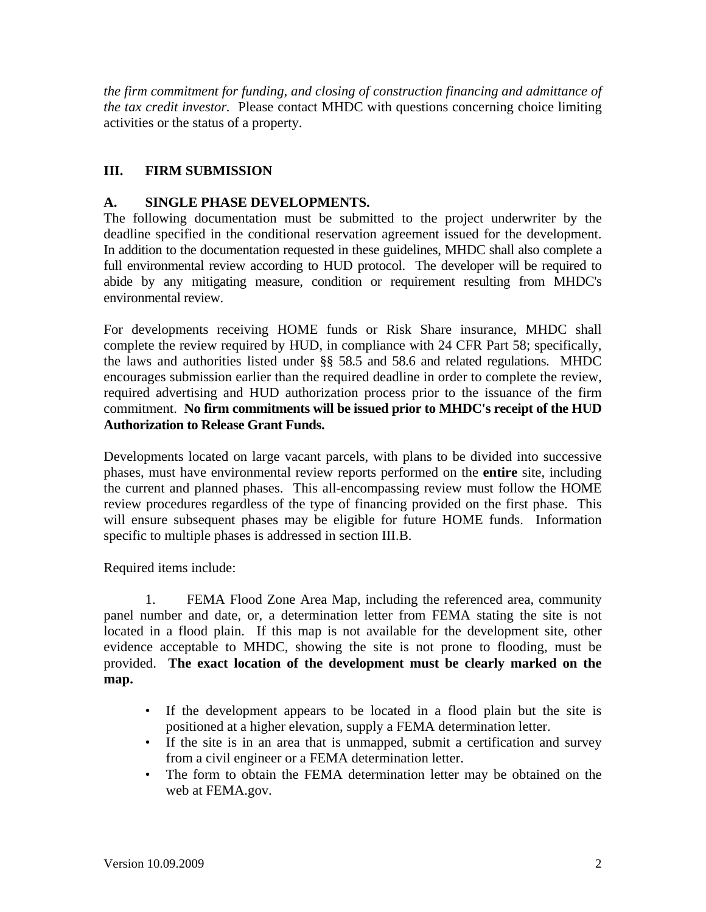*the firm commitment for funding, and closing of construction financing and admittance of the tax credit investor.* Please contact MHDC with questions concerning choice limiting activities or the status of a property.

# **III. FIRM SUBMISSION**

# **A. SINGLE PHASE DEVELOPMENTS.**

The following documentation must be submitted to the project underwriter by the deadline specified in the conditional reservation agreement issued for the development. In addition to the documentation requested in these guidelines, MHDC shall also complete a full environmental review according to HUD protocol. The developer will be required to abide by any mitigating measure, condition or requirement resulting from MHDC's environmental review.

For developments receiving HOME funds or Risk Share insurance, MHDC shall complete the review required by HUD, in compliance with 24 CFR Part 58; specifically, the laws and authorities listed under §§ 58.5 and 58.6 and related regulations. MHDC encourages submission earlier than the required deadline in order to complete the review, required advertising and HUD authorization process prior to the issuance of the firm commitment. **No firm commitments will be issued prior to MHDC's receipt of the HUD Authorization to Release Grant Funds.**

Developments located on large vacant parcels, with plans to be divided into successive phases, must have environmental review reports performed on the **entire** site, including the current and planned phases. This all-encompassing review must follow the HOME review procedures regardless of the type of financing provided on the first phase. This will ensure subsequent phases may be eligible for future HOME funds. Information specific to multiple phases is addressed in section III.B.

Required items include:

1. FEMA Flood Zone Area Map, including the referenced area, community panel number and date, or, a determination letter from FEMA stating the site is not located in a flood plain. If this map is not available for the development site, other evidence acceptable to MHDC, showing the site is not prone to flooding, must be provided. **The exact location of the development must be clearly marked on the map.**

- If the development appears to be located in a flood plain but the site is positioned at a higher elevation, supply a FEMA determination letter.
- If the site is in an area that is unmapped, submit a certification and survey from a civil engineer or a FEMA determination letter.
- The form to obtain the FEMA determination letter may be obtained on the web at FEMA.gov.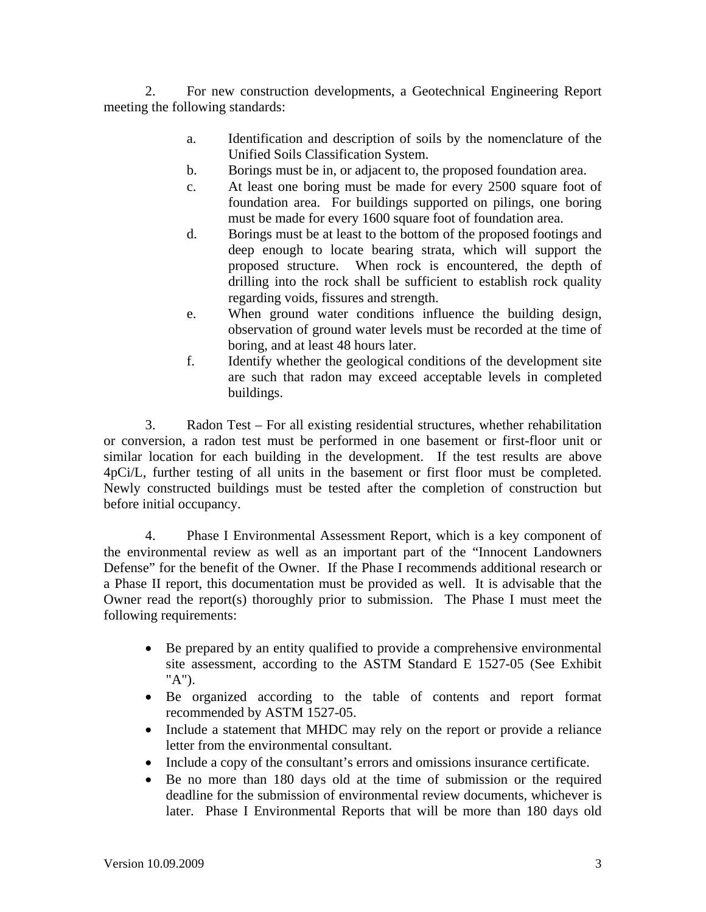2. For new construction developments, a Geotechnical Engineering Report meeting the following standards:

- a. Identification and description of soils by the nomenclature of the Unified Soils Classification System.
- b. Borings must be in, or adjacent to, the proposed foundation area.
- c. At least one boring must be made for every 2500 square foot of foundation area. For buildings supported on pilings, one boring must be made for every 1600 square foot of foundation area.
- d. Borings must be at least to the bottom of the proposed footings and deep enough to locate bearing strata, which will support the proposed structure. When rock is encountered, the depth of drilling into the rock shall be sufficient to establish rock quality regarding voids, fissures and strength.
- e. When ground water conditions influence the building design, observation of ground water levels must be recorded at the time of boring, and at least 48 hours later.
- f. Identify whether the geological conditions of the development site are such that radon may exceed acceptable levels in completed buildings.

3. Radon Test – For all existing residential structures, whether rehabilitation or conversion, a radon test must be performed in one basement or first-floor unit or similar location for each building in the development. If the test results are above 4pCi/L, further testing of all units in the basement or first floor must be completed. Newly constructed buildings must be tested after the completion of construction but before initial occupancy.

4. Phase I Environmental Assessment Report, which is a key component of the environmental review as well as an important part of the "Innocent Landowners Defense" for the benefit of the Owner. If the Phase I recommends additional research or a Phase II report, this documentation must be provided as well. It is advisable that the Owner read the report(s) thoroughly prior to submission. The Phase I must meet the following requirements:

- Be prepared by an entity qualified to provide a comprehensive environmental site assessment, according to the ASTM Standard E 1527-05 (See Exhibit "A").
- Be organized according to the table of contents and report format recommended by ASTM 1527-05.
- Include a statement that MHDC may rely on the report or provide a reliance letter from the environmental consultant.
- Include a copy of the consultant's errors and omissions insurance certificate.
- Be no more than 180 days old at the time of submission or the required deadline for the submission of environmental review documents, whichever is later. Phase I Environmental Reports that will be more than 180 days old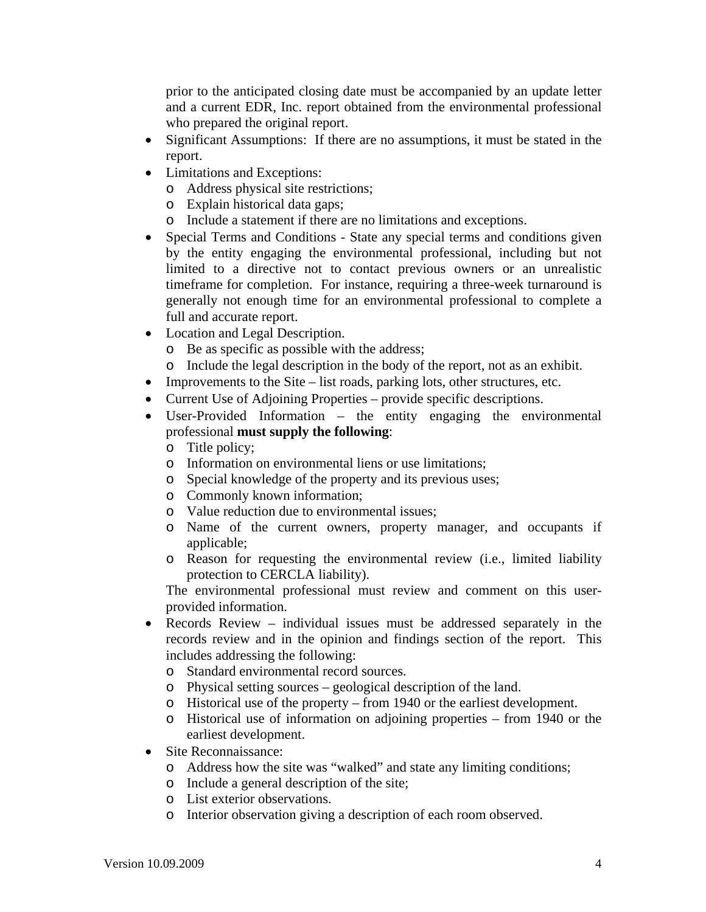prior to the anticipated closing date must be accompanied by an update letter and a current EDR, Inc. report obtained from the environmental professional who prepared the original report.

- Significant Assumptions: If there are no assumptions, it must be stated in the report.
- Limitations and Exceptions:
	- o Address physical site restrictions;
	- o Explain historical data gaps;
	- o Include a statement if there are no limitations and exceptions.
- Special Terms and Conditions State any special terms and conditions given by the entity engaging the environmental professional, including but not limited to a directive not to contact previous owners or an unrealistic timeframe for completion. For instance, requiring a three-week turnaround is generally not enough time for an environmental professional to complete a full and accurate report.
- Location and Legal Description.
	- o Be as specific as possible with the address;
	- o Include the legal description in the body of the report, not as an exhibit.
- Improvements to the Site list roads, parking lots, other structures, etc.
- Current Use of Adjoining Properties provide specific descriptions.
- User-Provided Information the entity engaging the environmental professional **must supply the following**:
	- o Title policy;
	- o Information on environmental liens or use limitations;
	- o Special knowledge of the property and its previous uses;
	- o Commonly known information;
	- o Value reduction due to environmental issues;
	- o Name of the current owners, property manager, and occupants if applicable;
	- o Reason for requesting the environmental review (i.e., limited liability protection to CERCLA liability).

The environmental professional must review and comment on this userprovided information.

- Records Review individual issues must be addressed separately in the records review and in the opinion and findings section of the report. This includes addressing the following:
	- o Standard environmental record sources.
	- o Physical setting sources geological description of the land.
	- o Historical use of the property from 1940 or the earliest development.
	- o Historical use of information on adjoining properties from 1940 or the earliest development.
- Site Reconnaissance:
	- o Address how the site was "walked" and state any limiting conditions;
	- o Include a general description of the site;
	- o List exterior observations.
	- o Interior observation giving a description of each room observed.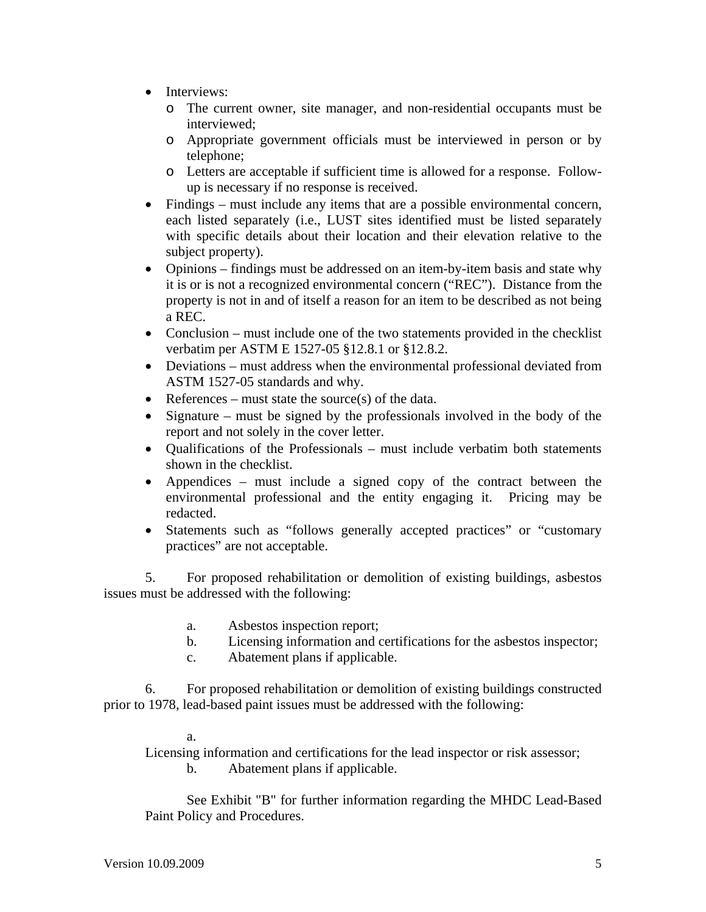- Interviews:
	- o The current owner, site manager, and non-residential occupants must be interviewed;
	- o Appropriate government officials must be interviewed in person or by telephone;
	- o Letters are acceptable if sufficient time is allowed for a response. Followup is necessary if no response is received.
- Findings must include any items that are a possible environmental concern, each listed separately (i.e., LUST sites identified must be listed separately with specific details about their location and their elevation relative to the subject property).
- Opinions findings must be addressed on an item-by-item basis and state why it is or is not a recognized environmental concern ("REC"). Distance from the property is not in and of itself a reason for an item to be described as not being a REC.
- Conclusion must include one of the two statements provided in the checklist verbatim per ASTM E 1527-05 §12.8.1 or §12.8.2.
- Deviations must address when the environmental professional deviated from ASTM 1527-05 standards and why.
- References must state the source(s) of the data.
- Signature must be signed by the professionals involved in the body of the report and not solely in the cover letter.
- Qualifications of the Professionals must include verbatim both statements shown in the checklist.
- Appendices must include a signed copy of the contract between the environmental professional and the entity engaging it. Pricing may be redacted.
- Statements such as "follows generally accepted practices" or "customary practices" are not acceptable.

5. For proposed rehabilitation or demolition of existing buildings, asbestos issues must be addressed with the following:

- a. Asbestos inspection report;
- b. Licensing information and certifications for the asbestos inspector;
- c. Abatement plans if applicable.

6. For proposed rehabilitation or demolition of existing buildings constructed prior to 1978, lead-based paint issues must be addressed with the following:

a.

Licensing information and certifications for the lead inspector or risk assessor;

b. Abatement plans if applicable.

 See Exhibit "B" for further information regarding the MHDC Lead-Based Paint Policy and Procedures.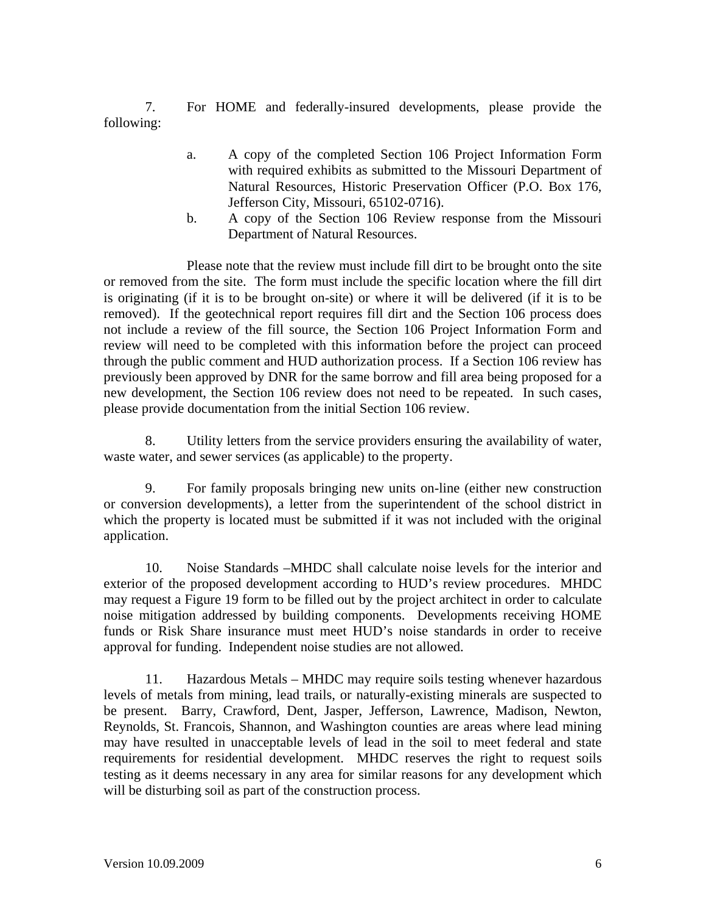7. For HOME and federally-insured developments, please provide the following:

- a. A copy of the completed Section 106 Project Information Form with required exhibits as submitted to the Missouri Department of Natural Resources, Historic Preservation Officer (P.O. Box 176, Jefferson City, Missouri, 65102-0716).
- b. A copy of the Section 106 Review response from the Missouri Department of Natural Resources.

Please note that the review must include fill dirt to be brought onto the site or removed from the site. The form must include the specific location where the fill dirt is originating (if it is to be brought on-site) or where it will be delivered (if it is to be removed). If the geotechnical report requires fill dirt and the Section 106 process does not include a review of the fill source, the Section 106 Project Information Form and review will need to be completed with this information before the project can proceed through the public comment and HUD authorization process. If a Section 106 review has previously been approved by DNR for the same borrow and fill area being proposed for a new development, the Section 106 review does not need to be repeated. In such cases, please provide documentation from the initial Section 106 review.

8. Utility letters from the service providers ensuring the availability of water, waste water, and sewer services (as applicable) to the property.

9. For family proposals bringing new units on-line (either new construction or conversion developments), a letter from the superintendent of the school district in which the property is located must be submitted if it was not included with the original application.

10. Noise Standards –MHDC shall calculate noise levels for the interior and exterior of the proposed development according to HUD's review procedures. MHDC may request a Figure 19 form to be filled out by the project architect in order to calculate noise mitigation addressed by building components. Developments receiving HOME funds or Risk Share insurance must meet HUD's noise standards in order to receive approval for funding. Independent noise studies are not allowed.

11. Hazardous Metals – MHDC may require soils testing whenever hazardous levels of metals from mining, lead trails, or naturally-existing minerals are suspected to be present. Barry, Crawford, Dent, Jasper, Jefferson, Lawrence, Madison, Newton, Reynolds, St. Francois, Shannon, and Washington counties are areas where lead mining may have resulted in unacceptable levels of lead in the soil to meet federal and state requirements for residential development. MHDC reserves the right to request soils testing as it deems necessary in any area for similar reasons for any development which will be disturbing soil as part of the construction process.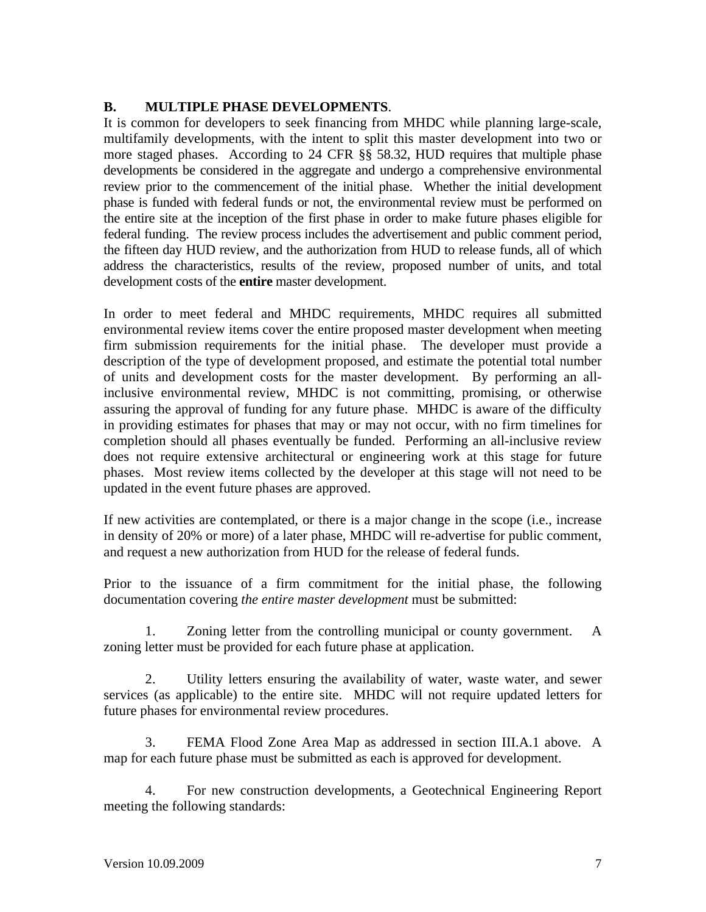# **B. MULTIPLE PHASE DEVELOPMENTS**.

It is common for developers to seek financing from MHDC while planning large-scale, multifamily developments, with the intent to split this master development into two or more staged phases. According to 24 CFR §§ 58.32, HUD requires that multiple phase developments be considered in the aggregate and undergo a comprehensive environmental review prior to the commencement of the initial phase. Whether the initial development phase is funded with federal funds or not, the environmental review must be performed on the entire site at the inception of the first phase in order to make future phases eligible for federal funding. The review process includes the advertisement and public comment period, the fifteen day HUD review, and the authorization from HUD to release funds, all of which address the characteristics, results of the review, proposed number of units, and total development costs of the **entire** master development.

In order to meet federal and MHDC requirements, MHDC requires all submitted environmental review items cover the entire proposed master development when meeting firm submission requirements for the initial phase. The developer must provide a description of the type of development proposed, and estimate the potential total number of units and development costs for the master development. By performing an allinclusive environmental review, MHDC is not committing, promising, or otherwise assuring the approval of funding for any future phase. MHDC is aware of the difficulty in providing estimates for phases that may or may not occur, with no firm timelines for completion should all phases eventually be funded. Performing an all-inclusive review does not require extensive architectural or engineering work at this stage for future phases. Most review items collected by the developer at this stage will not need to be updated in the event future phases are approved.

If new activities are contemplated, or there is a major change in the scope (i.e., increase in density of 20% or more) of a later phase, MHDC will re-advertise for public comment, and request a new authorization from HUD for the release of federal funds.

Prior to the issuance of a firm commitment for the initial phase, the following documentation covering *the entire master development* must be submitted:

 1. Zoning letter from the controlling municipal or county government. A zoning letter must be provided for each future phase at application.

 2. Utility letters ensuring the availability of water, waste water, and sewer services (as applicable) to the entire site. MHDC will not require updated letters for future phases for environmental review procedures.

 3. FEMA Flood Zone Area Map as addressed in section III.A.1 above. A map for each future phase must be submitted as each is approved for development.

 4. For new construction developments, a Geotechnical Engineering Report meeting the following standards: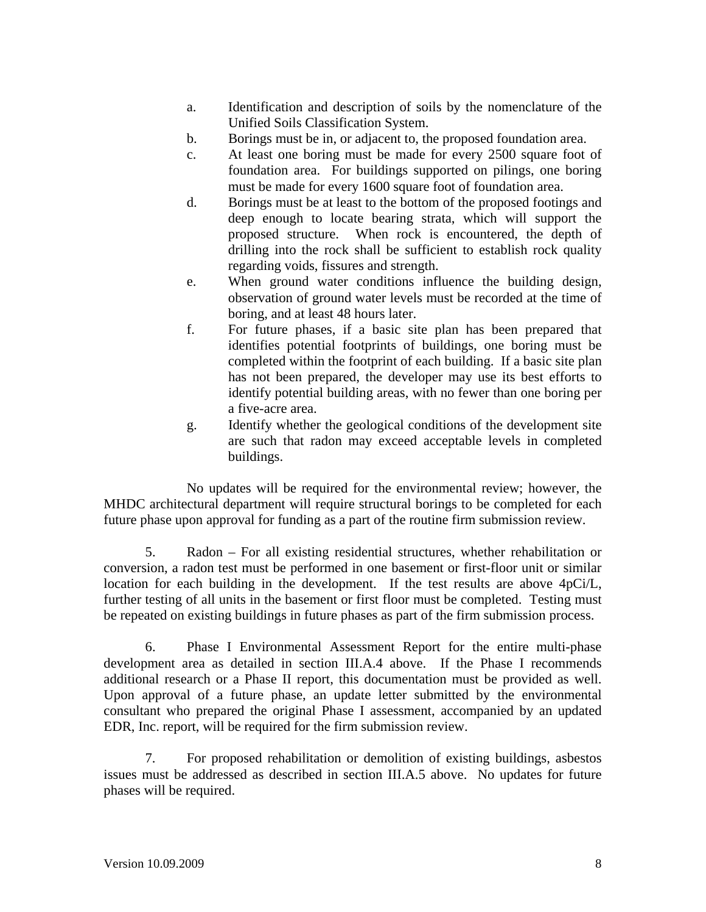- a. Identification and description of soils by the nomenclature of the Unified Soils Classification System.
- b. Borings must be in, or adjacent to, the proposed foundation area.
- c. At least one boring must be made for every 2500 square foot of foundation area. For buildings supported on pilings, one boring must be made for every 1600 square foot of foundation area.
- d. Borings must be at least to the bottom of the proposed footings and deep enough to locate bearing strata, which will support the proposed structure. When rock is encountered, the depth of drilling into the rock shall be sufficient to establish rock quality regarding voids, fissures and strength.
- e. When ground water conditions influence the building design, observation of ground water levels must be recorded at the time of boring, and at least 48 hours later.
- f. For future phases, if a basic site plan has been prepared that identifies potential footprints of buildings, one boring must be completed within the footprint of each building. If a basic site plan has not been prepared, the developer may use its best efforts to identify potential building areas, with no fewer than one boring per a five-acre area.
- g. Identify whether the geological conditions of the development site are such that radon may exceed acceptable levels in completed buildings.

No updates will be required for the environmental review; however, the MHDC architectural department will require structural borings to be completed for each future phase upon approval for funding as a part of the routine firm submission review.

5. Radon – For all existing residential structures, whether rehabilitation or conversion, a radon test must be performed in one basement or first-floor unit or similar location for each building in the development. If the test results are above 4pCi/L, further testing of all units in the basement or first floor must be completed. Testing must be repeated on existing buildings in future phases as part of the firm submission process.

6. Phase I Environmental Assessment Report for the entire multi-phase development area as detailed in section III.A.4 above. If the Phase I recommends additional research or a Phase II report, this documentation must be provided as well. Upon approval of a future phase, an update letter submitted by the environmental consultant who prepared the original Phase I assessment, accompanied by an updated EDR, Inc. report, will be required for the firm submission review.

7. For proposed rehabilitation or demolition of existing buildings, asbestos issues must be addressed as described in section III.A.5 above. No updates for future phases will be required.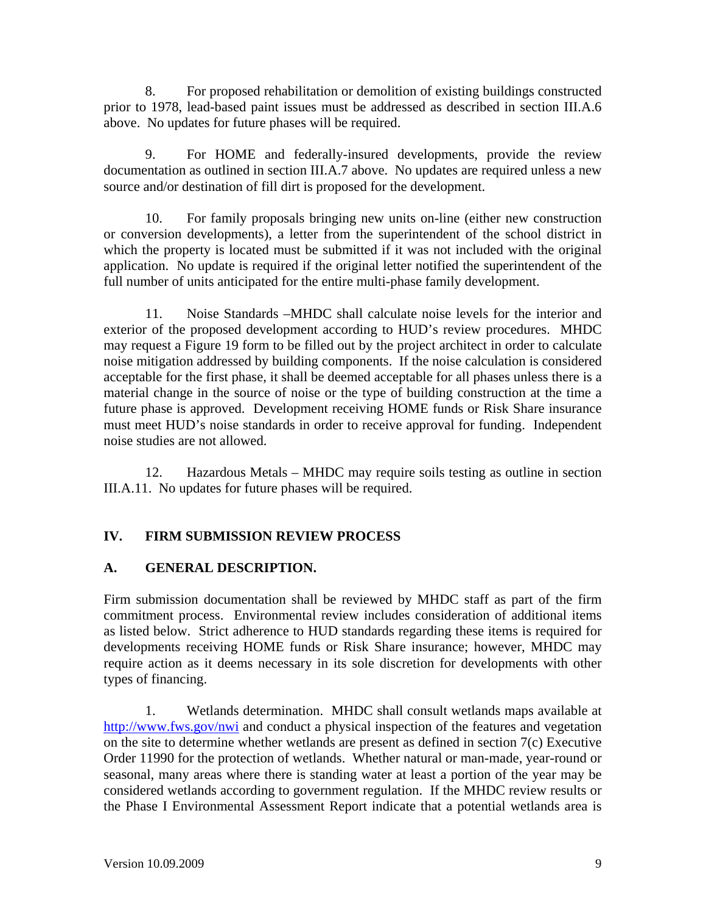8. For proposed rehabilitation or demolition of existing buildings constructed prior to 1978, lead-based paint issues must be addressed as described in section III.A.6 above. No updates for future phases will be required.

9. For HOME and federally-insured developments, provide the review documentation as outlined in section III.A.7 above. No updates are required unless a new source and/or destination of fill dirt is proposed for the development.

10. For family proposals bringing new units on-line (either new construction or conversion developments), a letter from the superintendent of the school district in which the property is located must be submitted if it was not included with the original application. No update is required if the original letter notified the superintendent of the full number of units anticipated for the entire multi-phase family development.

11. Noise Standards –MHDC shall calculate noise levels for the interior and exterior of the proposed development according to HUD's review procedures. MHDC may request a Figure 19 form to be filled out by the project architect in order to calculate noise mitigation addressed by building components. If the noise calculation is considered acceptable for the first phase, it shall be deemed acceptable for all phases unless there is a material change in the source of noise or the type of building construction at the time a future phase is approved. Development receiving HOME funds or Risk Share insurance must meet HUD's noise standards in order to receive approval for funding. Independent noise studies are not allowed.

12. Hazardous Metals – MHDC may require soils testing as outline in section III.A.11. No updates for future phases will be required.

# **IV. FIRM SUBMISSION REVIEW PROCESS**

# **A. GENERAL DESCRIPTION.**

Firm submission documentation shall be reviewed by MHDC staff as part of the firm commitment process. Environmental review includes consideration of additional items as listed below. Strict adherence to HUD standards regarding these items is required for developments receiving HOME funds or Risk Share insurance; however, MHDC may require action as it deems necessary in its sole discretion for developments with other types of financing.

 1. Wetlands determination. MHDC shall consult wetlands maps available at http://www.fws.gov/nwi and conduct a physical inspection of the features and vegetation on the site to determine whether wetlands are present as defined in section 7(c) Executive Order 11990 for the protection of wetlands. Whether natural or man-made, year-round or seasonal, many areas where there is standing water at least a portion of the year may be considered wetlands according to government regulation. If the MHDC review results or the Phase I Environmental Assessment Report indicate that a potential wetlands area is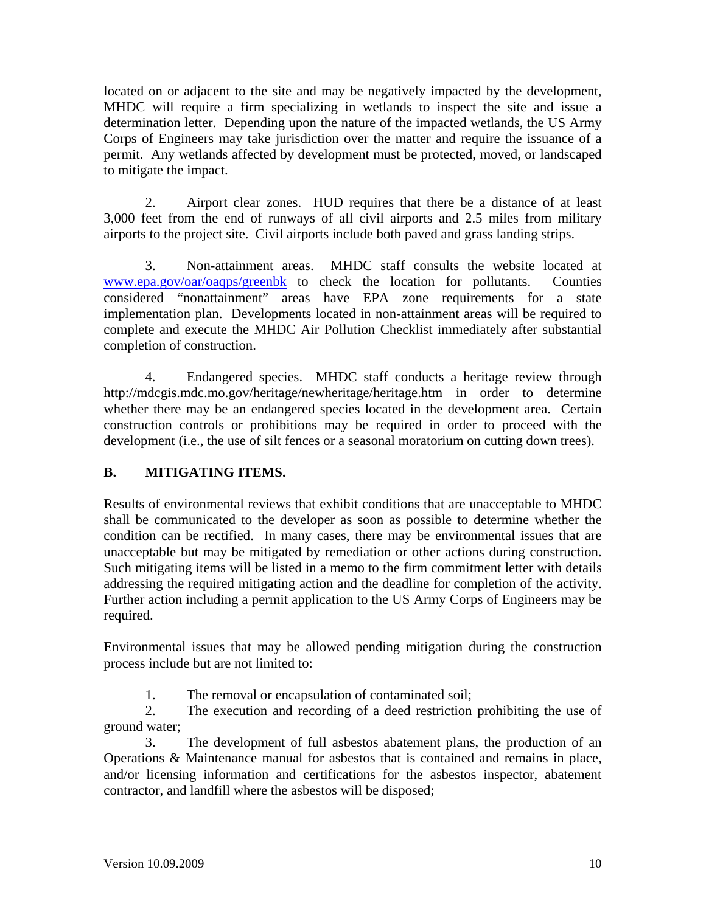located on or adjacent to the site and may be negatively impacted by the development, MHDC will require a firm specializing in wetlands to inspect the site and issue a determination letter. Depending upon the nature of the impacted wetlands, the US Army Corps of Engineers may take jurisdiction over the matter and require the issuance of a permit. Any wetlands affected by development must be protected, moved, or landscaped to mitigate the impact.

 2. Airport clear zones. HUD requires that there be a distance of at least 3,000 feet from the end of runways of all civil airports and 2.5 miles from military airports to the project site. Civil airports include both paved and grass landing strips.

 3. Non-attainment areas. MHDC staff consults the website located at www.epa.gov/oar/oaqps/greenbk to check the location for pollutants. Counties considered "nonattainment" areas have EPA zone requirements for a state implementation plan. Developments located in non-attainment areas will be required to complete and execute the MHDC Air Pollution Checklist immediately after substantial completion of construction.

 4. Endangered species. MHDC staff conducts a heritage review through http://mdcgis.mdc.mo.gov/heritage/newheritage/heritage.htm in order to determine whether there may be an endangered species located in the development area. Certain construction controls or prohibitions may be required in order to proceed with the development (i.e., the use of silt fences or a seasonal moratorium on cutting down trees).

# **B. MITIGATING ITEMS.**

Results of environmental reviews that exhibit conditions that are unacceptable to MHDC shall be communicated to the developer as soon as possible to determine whether the condition can be rectified. In many cases, there may be environmental issues that are unacceptable but may be mitigated by remediation or other actions during construction. Such mitigating items will be listed in a memo to the firm commitment letter with details addressing the required mitigating action and the deadline for completion of the activity. Further action including a permit application to the US Army Corps of Engineers may be required.

Environmental issues that may be allowed pending mitigation during the construction process include but are not limited to:

1. The removal or encapsulation of contaminated soil;

 2. The execution and recording of a deed restriction prohibiting the use of ground water;

 3. The development of full asbestos abatement plans, the production of an Operations & Maintenance manual for asbestos that is contained and remains in place, and/or licensing information and certifications for the asbestos inspector, abatement contractor, and landfill where the asbestos will be disposed;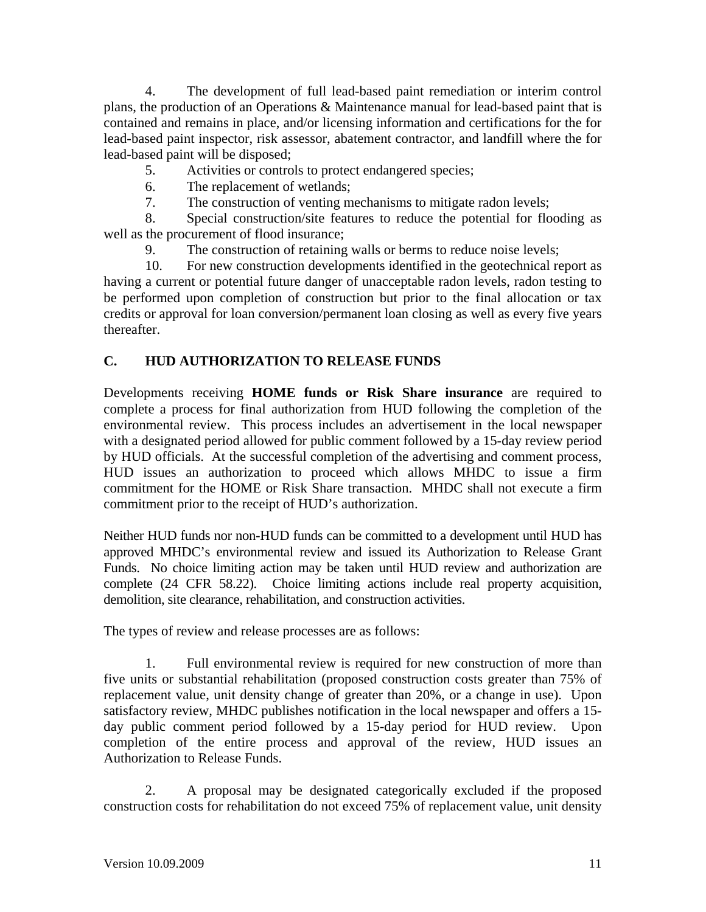4. The development of full lead-based paint remediation or interim control plans, the production of an Operations & Maintenance manual for lead-based paint that is contained and remains in place, and/or licensing information and certifications for the for lead-based paint inspector, risk assessor, abatement contractor, and landfill where the for lead-based paint will be disposed;

- 5. Activities or controls to protect endangered species;
- 6. The replacement of wetlands;
- 7. The construction of venting mechanisms to mitigate radon levels;

 8. Special construction/site features to reduce the potential for flooding as well as the procurement of flood insurance;

9. The construction of retaining walls or berms to reduce noise levels;

 10. For new construction developments identified in the geotechnical report as having a current or potential future danger of unacceptable radon levels, radon testing to be performed upon completion of construction but prior to the final allocation or tax credits or approval for loan conversion/permanent loan closing as well as every five years thereafter.

# **C. HUD AUTHORIZATION TO RELEASE FUNDS**

Developments receiving **HOME funds or Risk Share insurance** are required to complete a process for final authorization from HUD following the completion of the environmental review. This process includes an advertisement in the local newspaper with a designated period allowed for public comment followed by a 15-day review period by HUD officials. At the successful completion of the advertising and comment process, HUD issues an authorization to proceed which allows MHDC to issue a firm commitment for the HOME or Risk Share transaction. MHDC shall not execute a firm commitment prior to the receipt of HUD's authorization.

Neither HUD funds nor non-HUD funds can be committed to a development until HUD has approved MHDC's environmental review and issued its Authorization to Release Grant Funds. No choice limiting action may be taken until HUD review and authorization are complete (24 CFR 58.22). Choice limiting actions include real property acquisition, demolition, site clearance, rehabilitation, and construction activities.

The types of review and release processes are as follows:

 1. Full environmental review is required for new construction of more than five units or substantial rehabilitation (proposed construction costs greater than 75% of replacement value, unit density change of greater than 20%, or a change in use). Upon satisfactory review, MHDC publishes notification in the local newspaper and offers a 15 day public comment period followed by a 15-day period for HUD review. Upon completion of the entire process and approval of the review, HUD issues an Authorization to Release Funds.

 2. A proposal may be designated categorically excluded if the proposed construction costs for rehabilitation do not exceed 75% of replacement value, unit density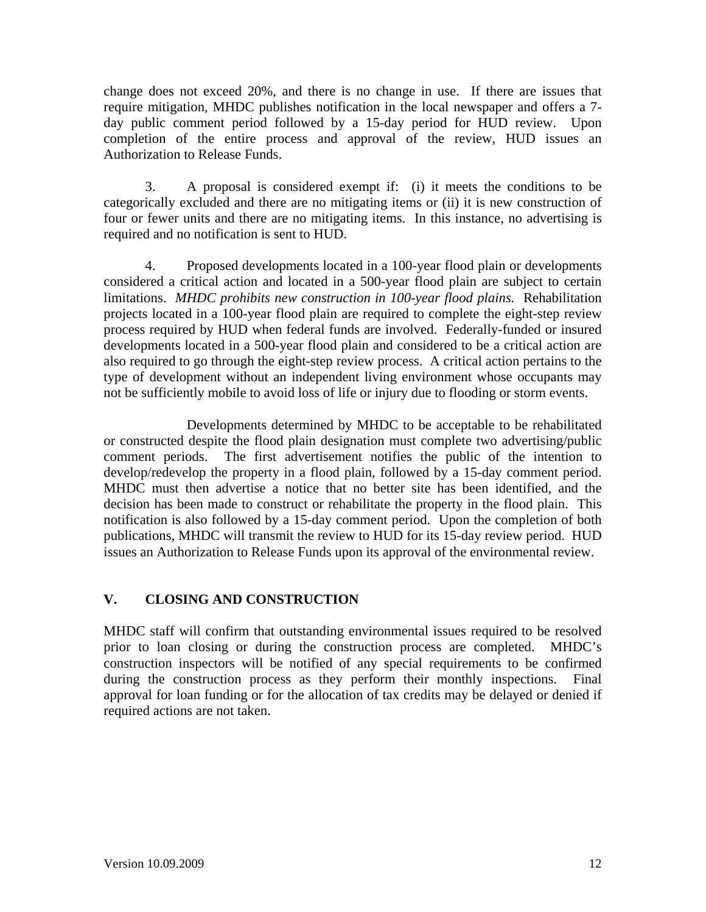change does not exceed 20%, and there is no change in use. If there are issues that require mitigation, MHDC publishes notification in the local newspaper and offers a 7 day public comment period followed by a 15-day period for HUD review. Upon completion of the entire process and approval of the review, HUD issues an Authorization to Release Funds.

 3. A proposal is considered exempt if: (i) it meets the conditions to be categorically excluded and there are no mitigating items or (ii) it is new construction of four or fewer units and there are no mitigating items. In this instance, no advertising is required and no notification is sent to HUD.

 4. Proposed developments located in a 100-year flood plain or developments considered a critical action and located in a 500-year flood plain are subject to certain limitations. *MHDC prohibits new construction in 100-year flood plains.* Rehabilitation projects located in a 100-year flood plain are required to complete the eight-step review process required by HUD when federal funds are involved. Federally-funded or insured developments located in a 500-year flood plain and considered to be a critical action are also required to go through the eight-step review process. A critical action pertains to the type of development without an independent living environment whose occupants may not be sufficiently mobile to avoid loss of life or injury due to flooding or storm events.

 Developments determined by MHDC to be acceptable to be rehabilitated or constructed despite the flood plain designation must complete two advertising/public comment periods. The first advertisement notifies the public of the intention to develop/redevelop the property in a flood plain, followed by a 15-day comment period. MHDC must then advertise a notice that no better site has been identified, and the decision has been made to construct or rehabilitate the property in the flood plain. This notification is also followed by a 15-day comment period. Upon the completion of both publications, MHDC will transmit the review to HUD for its 15-day review period. HUD issues an Authorization to Release Funds upon its approval of the environmental review.

# **V. CLOSING AND CONSTRUCTION**

MHDC staff will confirm that outstanding environmental issues required to be resolved prior to loan closing or during the construction process are completed. MHDC's construction inspectors will be notified of any special requirements to be confirmed during the construction process as they perform their monthly inspections. Final approval for loan funding or for the allocation of tax credits may be delayed or denied if required actions are not taken.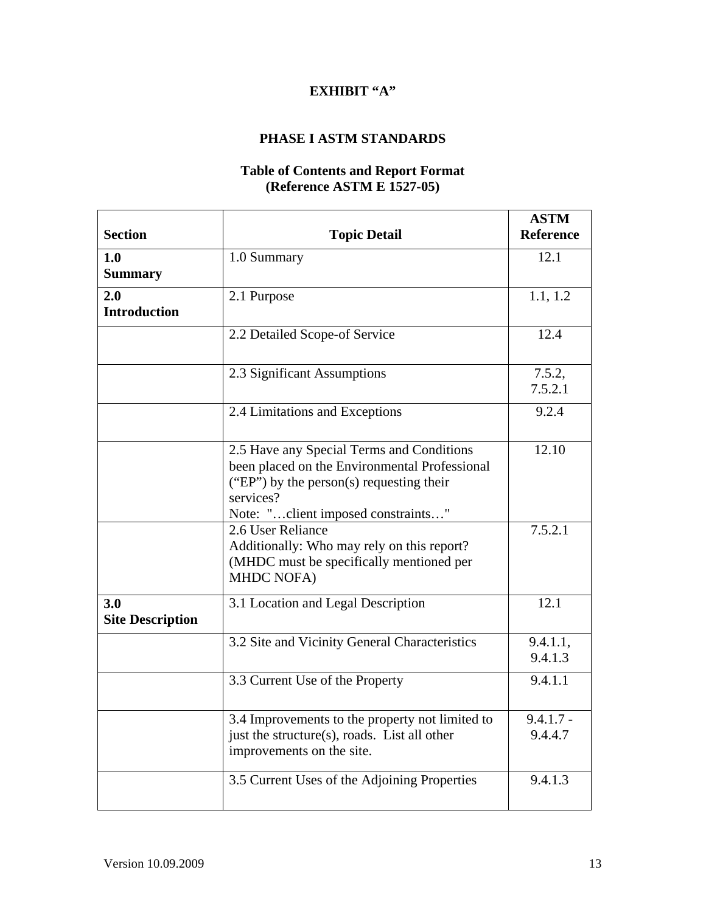# **EXHIBIT "A"**

# **PHASE I ASTM STANDARDS**

#### **Table of Contents and Report Format (Reference ASTM E 1527-05)**

| <b>Section</b>                 | <b>Topic Detail</b>                                                                                                                                                                       | <b>ASTM</b><br><b>Reference</b> |
|--------------------------------|-------------------------------------------------------------------------------------------------------------------------------------------------------------------------------------------|---------------------------------|
| 1.0<br><b>Summary</b>          | 1.0 Summary                                                                                                                                                                               | 12.1                            |
| 2.0<br><b>Introduction</b>     | 2.1 Purpose                                                                                                                                                                               | 1.1, 1.2                        |
|                                | 2.2 Detailed Scope-of Service                                                                                                                                                             | 12.4                            |
|                                | 2.3 Significant Assumptions                                                                                                                                                               | 7.5.2,<br>7.5.2.1               |
|                                | 2.4 Limitations and Exceptions                                                                                                                                                            | 9.2.4                           |
|                                | 2.5 Have any Special Terms and Conditions<br>been placed on the Environmental Professional<br>("EP") by the person(s) requesting their<br>services?<br>Note: "client imposed constraints" | 12.10                           |
|                                | 2.6 User Reliance<br>Additionally: Who may rely on this report?<br>(MHDC must be specifically mentioned per<br><b>MHDC NOFA)</b>                                                          | 7.5.2.1                         |
| 3.0<br><b>Site Description</b> | 3.1 Location and Legal Description                                                                                                                                                        | 12.1                            |
|                                | 3.2 Site and Vicinity General Characteristics                                                                                                                                             | 9.4.1.1,<br>9.4.1.3             |
|                                | 3.3 Current Use of the Property                                                                                                                                                           | 9.4.1.1                         |
|                                | 3.4 Improvements to the property not limited to<br>just the structure(s), roads. List all other<br>improvements on the site.                                                              | $9.4.1.7 -$<br>9.4.4.7          |
|                                | 3.5 Current Uses of the Adjoining Properties                                                                                                                                              | 9.4.1.3                         |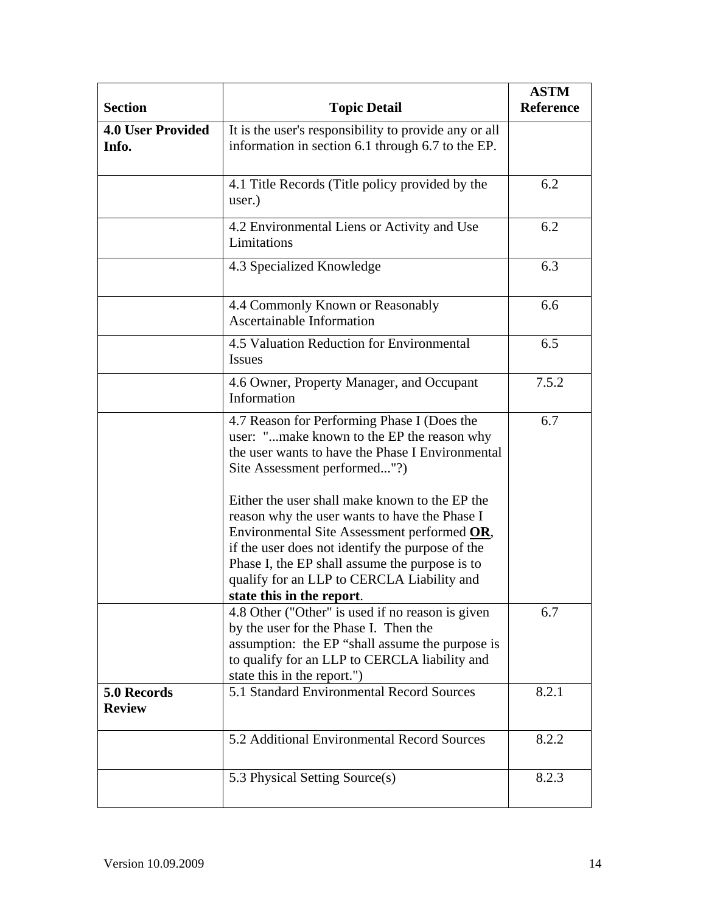| <b>Section</b>                    | <b>Topic Detail</b>                                                                                                                                                                                                                                                                                                             | <b>ASTM</b><br>Reference |
|-----------------------------------|---------------------------------------------------------------------------------------------------------------------------------------------------------------------------------------------------------------------------------------------------------------------------------------------------------------------------------|--------------------------|
| <b>4.0 User Provided</b><br>Info. | It is the user's responsibility to provide any or all<br>information in section 6.1 through 6.7 to the EP.                                                                                                                                                                                                                      |                          |
|                                   | 4.1 Title Records (Title policy provided by the<br>user.)                                                                                                                                                                                                                                                                       | 6.2                      |
|                                   | 4.2 Environmental Liens or Activity and Use<br>Limitations                                                                                                                                                                                                                                                                      | 6.2                      |
|                                   | 4.3 Specialized Knowledge                                                                                                                                                                                                                                                                                                       | 6.3                      |
|                                   | 4.4 Commonly Known or Reasonably<br><b>Ascertainable Information</b>                                                                                                                                                                                                                                                            | 6.6                      |
|                                   | 4.5 Valuation Reduction for Environmental<br><b>Issues</b>                                                                                                                                                                                                                                                                      | 6.5                      |
|                                   | 4.6 Owner, Property Manager, and Occupant<br>Information                                                                                                                                                                                                                                                                        | 7.5.2                    |
|                                   | 4.7 Reason for Performing Phase I (Does the<br>user: "make known to the EP the reason why<br>the user wants to have the Phase I Environmental<br>Site Assessment performed"?)                                                                                                                                                   | 6.7                      |
|                                   | Either the user shall make known to the EP the<br>reason why the user wants to have the Phase I<br>Environmental Site Assessment performed OR,<br>if the user does not identify the purpose of the<br>Phase I, the EP shall assume the purpose is to<br>qualify for an LLP to CERCLA Liability and<br>state this in the report. |                          |
|                                   | 4.8 Other ("Other" is used if no reason is given<br>by the user for the Phase I. Then the<br>assumption: the EP "shall assume the purpose is<br>to qualify for an LLP to CERCLA liability and<br>state this in the report.")                                                                                                    | 6.7                      |
| 5.0 Records<br><b>Review</b>      | 5.1 Standard Environmental Record Sources                                                                                                                                                                                                                                                                                       | 8.2.1                    |
|                                   | 5.2 Additional Environmental Record Sources                                                                                                                                                                                                                                                                                     | 8.2.2                    |
|                                   | 5.3 Physical Setting Source(s)                                                                                                                                                                                                                                                                                                  | 8.2.3                    |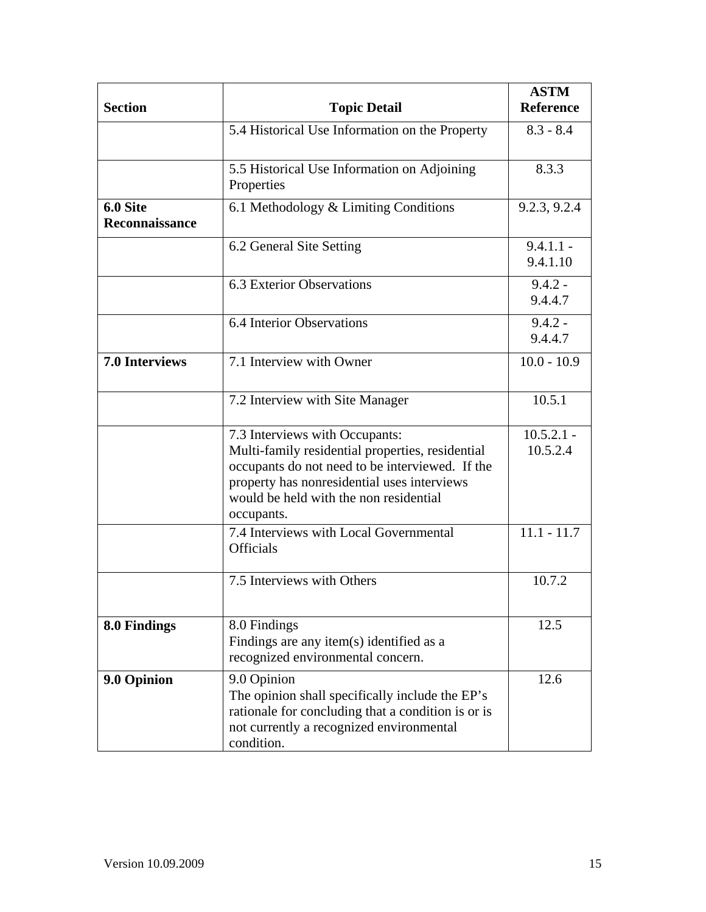| <b>Section</b>             | <b>Topic Detail</b>                                                                                                                                                                                                                          | <b>ASTM</b><br><b>Reference</b> |  |
|----------------------------|----------------------------------------------------------------------------------------------------------------------------------------------------------------------------------------------------------------------------------------------|---------------------------------|--|
|                            | 5.4 Historical Use Information on the Property                                                                                                                                                                                               | $8.3 - 8.4$                     |  |
|                            | 5.5 Historical Use Information on Adjoining<br>Properties                                                                                                                                                                                    | 8.3.3                           |  |
| 6.0 Site<br>Reconnaissance | 6.1 Methodology & Limiting Conditions                                                                                                                                                                                                        | 9.2.3, 9.2.4                    |  |
|                            | 6.2 General Site Setting                                                                                                                                                                                                                     | $9.4.1.1 -$<br>9.4.1.10         |  |
|                            | 6.3 Exterior Observations                                                                                                                                                                                                                    | $9.4.2 -$<br>9.4.4.7            |  |
|                            | 6.4 Interior Observations                                                                                                                                                                                                                    | $9.4.2 -$<br>9.4.4.7            |  |
| <b>7.0 Interviews</b>      | 7.1 Interview with Owner                                                                                                                                                                                                                     | $10.0 - 10.9$                   |  |
|                            | 7.2 Interview with Site Manager                                                                                                                                                                                                              | 10.5.1                          |  |
|                            | 7.3 Interviews with Occupants:<br>Multi-family residential properties, residential<br>occupants do not need to be interviewed. If the<br>property has nonresidential uses interviews<br>would be held with the non residential<br>occupants. | $10.5.2.1 -$<br>10.5.2.4        |  |
|                            | 7.4 Interviews with Local Governmental<br><b>Officials</b>                                                                                                                                                                                   | $11.1 - 11.7$                   |  |
|                            | 7.5 Interviews with Others                                                                                                                                                                                                                   | 10.7.2                          |  |
| 8.0 Findings               | 8.0 Findings<br>Findings are any item(s) identified as a<br>recognized environmental concern.                                                                                                                                                | 12.5                            |  |
| 9.0 Opinion                | 9.0 Opinion<br>The opinion shall specifically include the EP's<br>rationale for concluding that a condition is or is<br>not currently a recognized environmental<br>condition.                                                               | 12.6                            |  |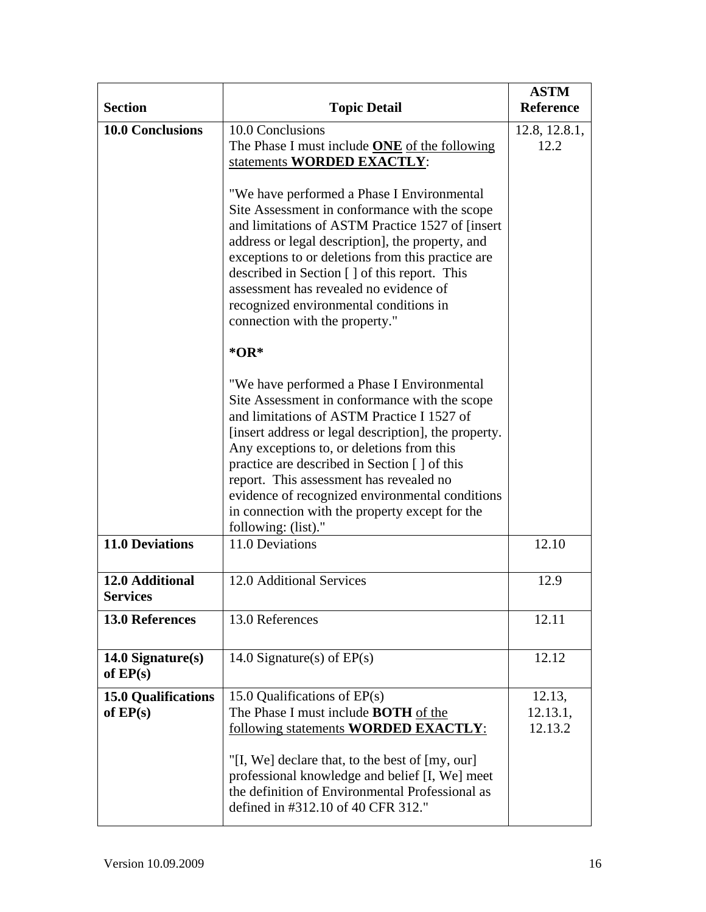| <b>Section</b>                           | <b>Topic Detail</b>                                                                                                                                                                                                                                                                                                                                                                                                                                                    | <b>ASTM</b><br><b>Reference</b> |
|------------------------------------------|------------------------------------------------------------------------------------------------------------------------------------------------------------------------------------------------------------------------------------------------------------------------------------------------------------------------------------------------------------------------------------------------------------------------------------------------------------------------|---------------------------------|
| <b>10.0 Conclusions</b>                  | 10.0 Conclusions<br>The Phase I must include <b>ONE</b> of the following<br>statements WORDED EXACTLY:                                                                                                                                                                                                                                                                                                                                                                 | 12.8, 12.8.1,<br>12.2           |
|                                          | "We have performed a Phase I Environmental<br>Site Assessment in conformance with the scope<br>and limitations of ASTM Practice 1527 of [insert]<br>address or legal description], the property, and<br>exceptions to or deletions from this practice are<br>described in Section [] of this report. This<br>assessment has revealed no evidence of<br>recognized environmental conditions in<br>connection with the property."<br>$*OR*$                              |                                 |
|                                          | "We have performed a Phase I Environmental<br>Site Assessment in conformance with the scope<br>and limitations of ASTM Practice I 1527 of<br>[insert address or legal description], the property.<br>Any exceptions to, or deletions from this<br>practice are described in Section [ ] of this<br>report. This assessment has revealed no<br>evidence of recognized environmental conditions<br>in connection with the property except for the<br>following: (list)." |                                 |
| <b>11.0 Deviations</b>                   | 11.0 Deviations                                                                                                                                                                                                                                                                                                                                                                                                                                                        | 12.10                           |
| 12.0 Additional<br><b>Services</b>       | 12.0 Additional Services                                                                                                                                                                                                                                                                                                                                                                                                                                               | 12.9                            |
| <b>13.0 References</b>                   | 13.0 References                                                                                                                                                                                                                                                                                                                                                                                                                                                        | 12.11                           |
| $14.0$ Signature(s)<br>of $EP(s)$        | 14.0 Signature(s) of $EP(s)$                                                                                                                                                                                                                                                                                                                                                                                                                                           | 12.12                           |
| <b>15.0 Qualifications</b><br>of $EP(s)$ | 15.0 Qualifications of $EP(s)$<br>The Phase I must include <b>BOTH</b> of the<br>following statements <b>WORDED EXACTLY</b> :<br>"[I, We] declare that, to the best of [my, our]<br>professional knowledge and belief [I, We] meet<br>the definition of Environmental Professional as<br>defined in #312.10 of 40 CFR 312."                                                                                                                                            | 12.13,<br>12.13.1,<br>12.13.2   |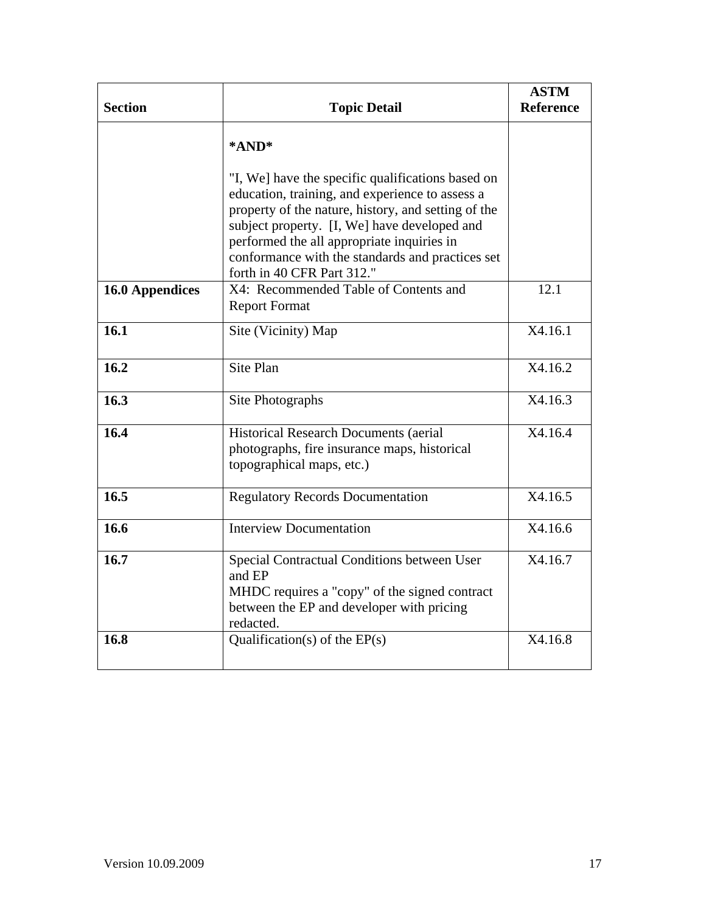|                        |                                                                                                                                                                                                                                                           | <b>ASTM</b>      |
|------------------------|-----------------------------------------------------------------------------------------------------------------------------------------------------------------------------------------------------------------------------------------------------------|------------------|
| <b>Section</b>         | <b>Topic Detail</b>                                                                                                                                                                                                                                       | <b>Reference</b> |
|                        | *AND*                                                                                                                                                                                                                                                     |                  |
|                        | "I, We] have the specific qualifications based on<br>education, training, and experience to assess a<br>property of the nature, history, and setting of the<br>subject property. [I, We] have developed and<br>performed the all appropriate inquiries in |                  |
|                        | conformance with the standards and practices set<br>forth in 40 CFR Part 312."                                                                                                                                                                            |                  |
| <b>16.0 Appendices</b> | X4: Recommended Table of Contents and<br><b>Report Format</b>                                                                                                                                                                                             | 12.1             |
| 16.1                   | Site (Vicinity) Map                                                                                                                                                                                                                                       | X4.16.1          |
| 16.2                   | Site Plan                                                                                                                                                                                                                                                 | X4.16.2          |
| 16.3                   | Site Photographs                                                                                                                                                                                                                                          | X4.16.3          |
| 16.4                   | Historical Research Documents (aerial<br>photographs, fire insurance maps, historical<br>topographical maps, etc.)                                                                                                                                        |                  |
| 16.5                   | <b>Regulatory Records Documentation</b>                                                                                                                                                                                                                   | X4.16.5          |
| 16.6                   | <b>Interview Documentation</b>                                                                                                                                                                                                                            | X4.16.6          |
| 16.7                   | Special Contractual Conditions between User<br>and EP<br>MHDC requires a "copy" of the signed contract<br>between the EP and developer with pricing<br>redacted.                                                                                          | X4.16.7          |
| 16.8                   | Qualification(s) of the $EP(s)$                                                                                                                                                                                                                           | X4.16.8          |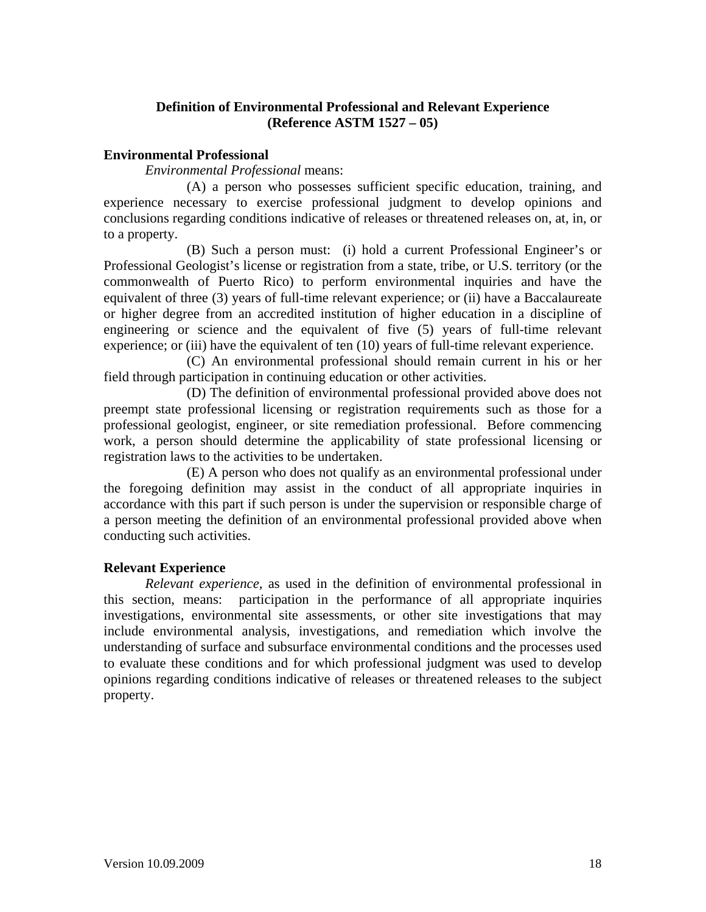# **Definition of Environmental Professional and Relevant Experience (Reference ASTM 1527 – 05)**

#### **Environmental Professional**

*Environmental Professional* means:

 (A) a person who possesses sufficient specific education, training, and experience necessary to exercise professional judgment to develop opinions and conclusions regarding conditions indicative of releases or threatened releases on, at, in, or to a property.

 (B) Such a person must: (i) hold a current Professional Engineer's or Professional Geologist's license or registration from a state, tribe, or U.S. territory (or the commonwealth of Puerto Rico) to perform environmental inquiries and have the equivalent of three (3) years of full-time relevant experience; or (ii) have a Baccalaureate or higher degree from an accredited institution of higher education in a discipline of engineering or science and the equivalent of five (5) years of full-time relevant experience; or (iii) have the equivalent of ten (10) years of full-time relevant experience.

(C) An environmental professional should remain current in his or her field through participation in continuing education or other activities.

 (D) The definition of environmental professional provided above does not preempt state professional licensing or registration requirements such as those for a professional geologist, engineer, or site remediation professional. Before commencing work, a person should determine the applicability of state professional licensing or registration laws to the activities to be undertaken.

 (E) A person who does not qualify as an environmental professional under the foregoing definition may assist in the conduct of all appropriate inquiries in accordance with this part if such person is under the supervision or responsible charge of a person meeting the definition of an environmental professional provided above when conducting such activities.

#### **Relevant Experience**

*Relevant experience*, as used in the definition of environmental professional in this section, means: participation in the performance of all appropriate inquiries investigations, environmental site assessments, or other site investigations that may include environmental analysis, investigations, and remediation which involve the understanding of surface and subsurface environmental conditions and the processes used to evaluate these conditions and for which professional judgment was used to develop opinions regarding conditions indicative of releases or threatened releases to the subject property.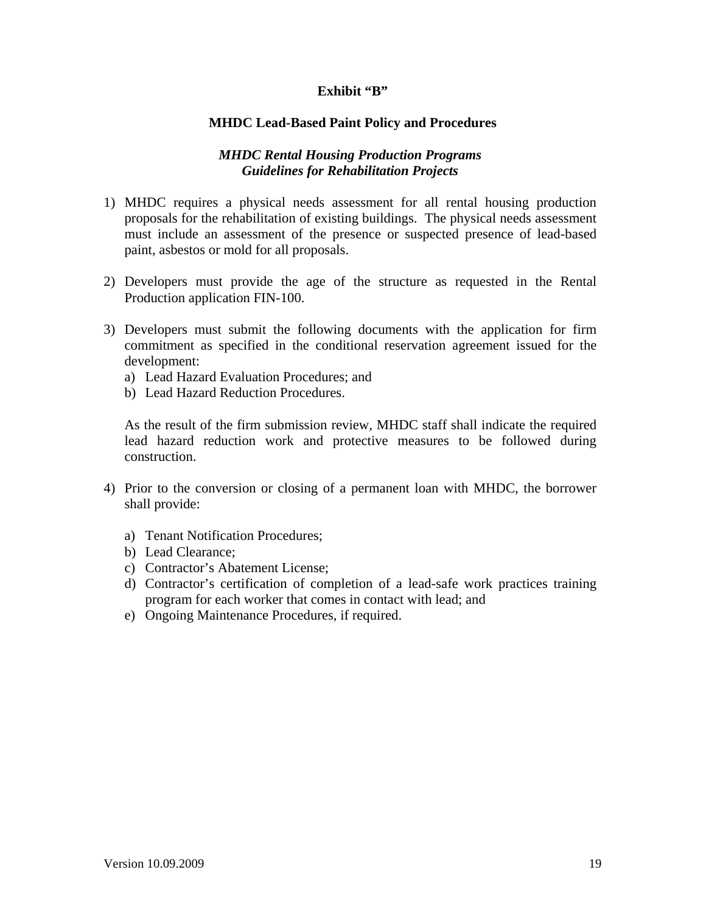# Exhibit "B"

#### **MHDC Lead-Based Paint Policy and Procedures**

# *MHDC Rental Housing Production Programs Guidelines for Rehabilitation Projects*

- 1) MHDC requires a physical needs assessment for all rental housing production proposals for the rehabilitation of existing buildings. The physical needs assessment must include an assessment of the presence or suspected presence of lead-based paint, asbestos or mold for all proposals.
- 2) Developers must provide the age of the structure as requested in the Rental Production application FIN-100.
- 3) Developers must submit the following documents with the application for firm commitment as specified in the conditional reservation agreement issued for the development:
	- a) Lead Hazard Evaluation Procedures; and
	- b) Lead Hazard Reduction Procedures.

As the result of the firm submission review, MHDC staff shall indicate the required lead hazard reduction work and protective measures to be followed during construction.

- 4) Prior to the conversion or closing of a permanent loan with MHDC, the borrower shall provide:
	- a) Tenant Notification Procedures;
	- b) Lead Clearance;
	- c) Contractor's Abatement License;
	- d) Contractor's certification of completion of a lead-safe work practices training program for each worker that comes in contact with lead; and
	- e) Ongoing Maintenance Procedures, if required.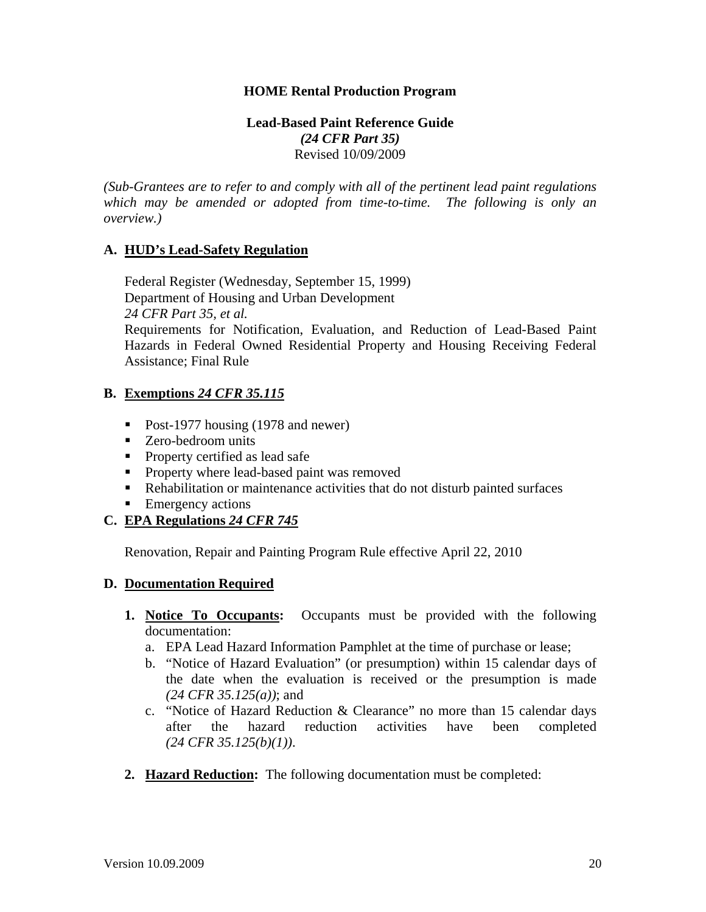#### **HOME Rental Production Program**

#### **Lead-Based Paint Reference Guide**  *(24 CFR Part 35)*  Revised 10/09/2009

*(Sub-Grantees are to refer to and comply with all of the pertinent lead paint regulations which may be amended or adopted from time-to-time. The following is only an overview.)* 

#### **A. HUD's Lead-Safety Regulation**

 Federal Register (Wednesday, September 15, 1999) Department of Housing and Urban Development  *24 CFR Part 35, et al.*  Requirements for Notification, Evaluation, and Reduction of Lead-Based Paint Hazards in Federal Owned Residential Property and Housing Receiving Federal Assistance; Final Rule

#### **B. Exemptions** *24 CFR 35.115*

- Post-1977 housing (1978 and newer)
- Zero-bedroom units
- **Property certified as lead safe**
- **Property where lead-based paint was removed**
- Rehabilitation or maintenance activities that do not disturb painted surfaces
- **Emergency actions**

# **C. EPA Regulations** *24 CFR 745*

Renovation, Repair and Painting Program Rule effective April 22, 2010

#### **D. Documentation Required**

- **1. Notice To Occupants:** Occupants must be provided with the following documentation:
	- a. EPA Lead Hazard Information Pamphlet at the time of purchase or lease;
	- b. "Notice of Hazard Evaluation" (or presumption) within 15 calendar days of the date when the evaluation is received or the presumption is made *(24 CFR 35.125(a))*; and
	- c. "Notice of Hazard Reduction & Clearance" no more than 15 calendar days after the hazard reduction activities have been completed *(24 CFR 35.125(b)(1))*.
- **2. Hazard Reduction:** The following documentation must be completed: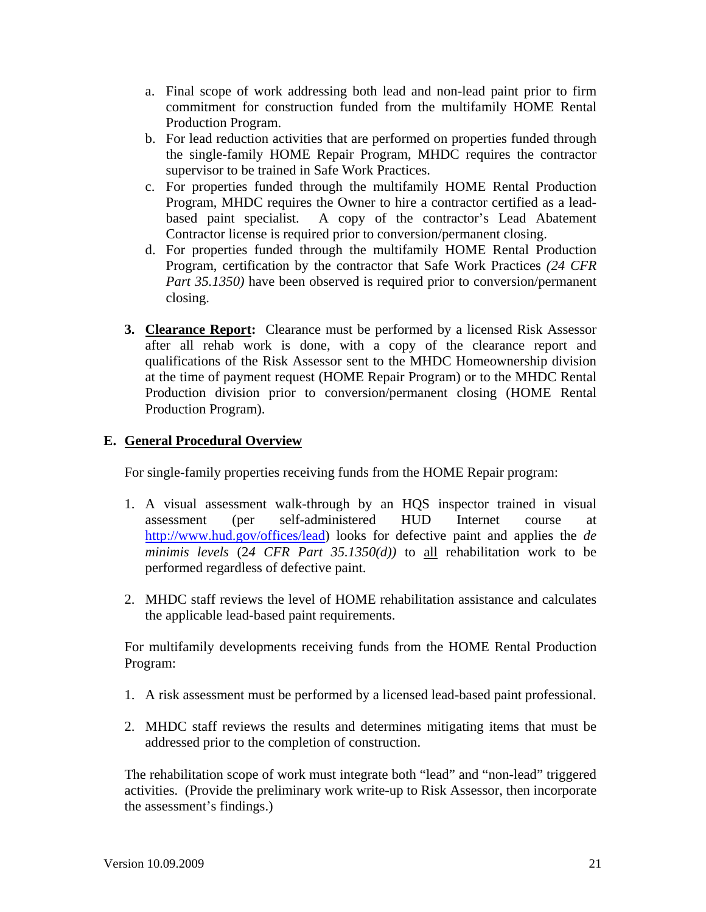- a. Final scope of work addressing both lead and non-lead paint prior to firm commitment for construction funded from the multifamily HOME Rental Production Program.
- b. For lead reduction activities that are performed on properties funded through the single-family HOME Repair Program, MHDC requires the contractor supervisor to be trained in Safe Work Practices.
- c. For properties funded through the multifamily HOME Rental Production Program, MHDC requires the Owner to hire a contractor certified as a leadbased paint specialist. A copy of the contractor's Lead Abatement Contractor license is required prior to conversion/permanent closing.
- d. For properties funded through the multifamily HOME Rental Production Program, certification by the contractor that Safe Work Practices *(24 CFR Part 35.1350)* have been observed is required prior to conversion/permanent closing.
- **3. Clearance Report:** Clearance must be performed by a licensed Risk Assessor after all rehab work is done, with a copy of the clearance report and qualifications of the Risk Assessor sent to the MHDC Homeownership division at the time of payment request (HOME Repair Program) or to the MHDC Rental Production division prior to conversion/permanent closing (HOME Rental Production Program).

# **E. General Procedural Overview**

For single-family properties receiving funds from the HOME Repair program:

- 1. A visual assessment walk-through by an HQS inspector trained in visual assessment (per self-administered HUD Internet course at http://www.hud.gov/offices/lead) looks for defective paint and applies the *de minimis levels* (2*4 CFR Part 35.1350(d))* to all rehabilitation work to be performed regardless of defective paint.
- 2. MHDC staff reviews the level of HOME rehabilitation assistance and calculates the applicable lead-based paint requirements.

 For multifamily developments receiving funds from the HOME Rental Production Program:

- 1. A risk assessment must be performed by a licensed lead-based paint professional.
- 2. MHDC staff reviews the results and determines mitigating items that must be addressed prior to the completion of construction.

 The rehabilitation scope of work must integrate both "lead" and "non-lead" triggered activities. (Provide the preliminary work write-up to Risk Assessor, then incorporate the assessment's findings.)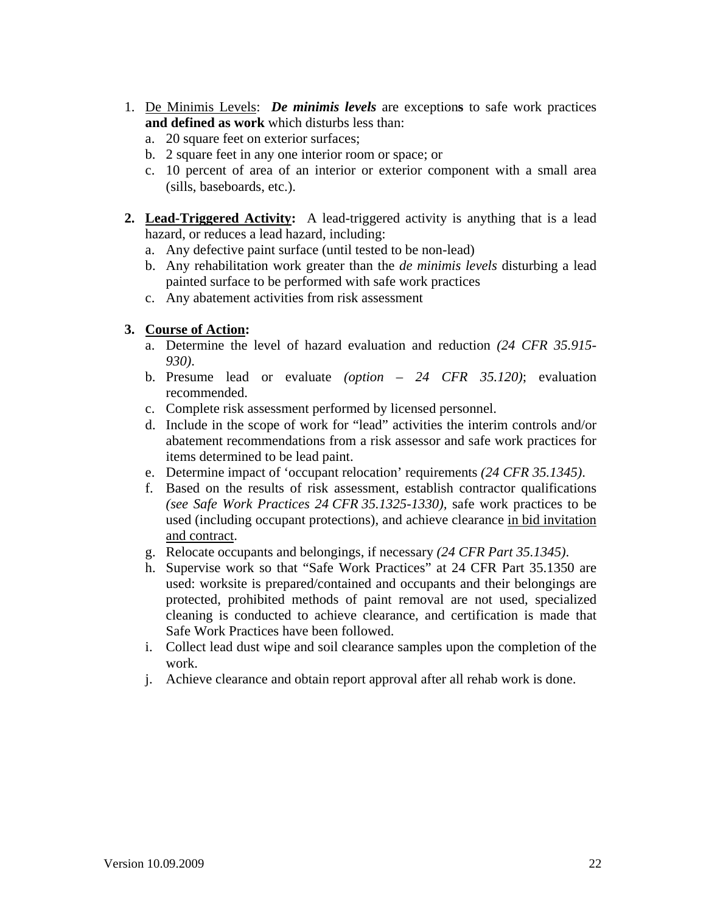- 1. De Minimis Levels: *De minimis levels* are exception**s** to safe work practices **and defined as work** which disturbs less than:
	- a. 20 square feet on exterior surfaces;
	- b. 2 square feet in any one interior room or space; or
	- c. 10 percent of area of an interior or exterior component with a small area (sills, baseboards, etc.).
- **2. Lead-Triggered Activity:** A lead-triggered activity is anything that is a lead hazard, or reduces a lead hazard, including:
	- a. Any defective paint surface (until tested to be non-lead)
	- b. Any rehabilitation work greater than the *de minimis levels* disturbing a lead painted surface to be performed with safe work practices
	- c. Any abatement activities from risk assessment

# **3. Course of Action:**

- a. Determine the level of hazard evaluation and reduction *(24 CFR 35.915- 930)*.
- b. Presume lead or evaluate *(option 24 CFR 35.120)*; evaluation recommended.
- c. Complete risk assessment performed by licensed personnel.
- d. Include in the scope of work for "lead" activities the interim controls and/or abatement recommendations from a risk assessor and safe work practices for items determined to be lead paint.
- e. Determine impact of 'occupant relocation' requirements *(24 CFR 35.1345)*.
- f. Based on the results of risk assessment, establish contractor qualifications *(see Safe Work Practices 24 CFR 35.1325-1330),* safe work practices to be used (including occupant protections), and achieve clearance in bid invitation and contract.
- g. Relocate occupants and belongings, if necessary *(24 CFR Part 35.1345)*.
- h. Supervise work so that "Safe Work Practices" at 24 CFR Part 35.1350 are used: worksite is prepared/contained and occupants and their belongings are protected, prohibited methods of paint removal are not used, specialized cleaning is conducted to achieve clearance, and certification is made that Safe Work Practices have been followed.
- i. Collect lead dust wipe and soil clearance samples upon the completion of the work.
- j. Achieve clearance and obtain report approval after all rehab work is done.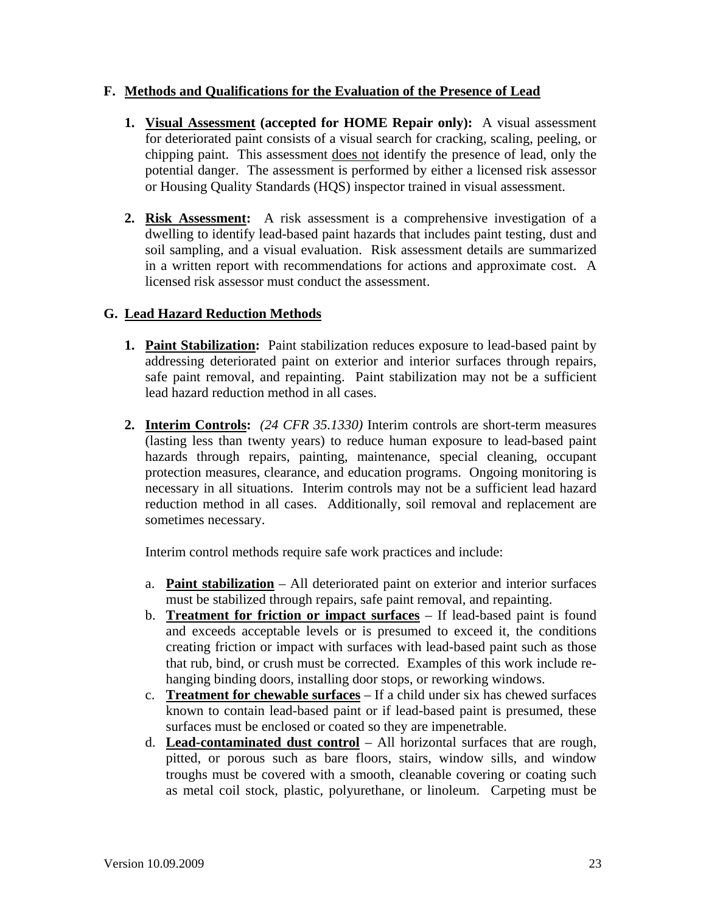# **F. Methods and Qualifications for the Evaluation of the Presence of Lead**

- **1. Visual Assessment (accepted for HOME Repair only):** A visual assessment for deteriorated paint consists of a visual search for cracking, scaling, peeling, or chipping paint. This assessment does not identify the presence of lead, only the potential danger. The assessment is performed by either a licensed risk assessor or Housing Quality Standards (HQS) inspector trained in visual assessment.
- **2. Risk Assessment:** A risk assessment is a comprehensive investigation of a dwelling to identify lead-based paint hazards that includes paint testing, dust and soil sampling, and a visual evaluation. Risk assessment details are summarized in a written report with recommendations for actions and approximate cost. A licensed risk assessor must conduct the assessment.

# **G. Lead Hazard Reduction Methods**

- **1. Paint Stabilization:** Paint stabilization reduces exposure to lead-based paint by addressing deteriorated paint on exterior and interior surfaces through repairs, safe paint removal, and repainting. Paint stabilization may not be a sufficient lead hazard reduction method in all cases.
- **2. Interim Controls:** *(24 CFR 35.1330)* Interim controls are short-term measures (lasting less than twenty years) to reduce human exposure to lead-based paint hazards through repairs, painting, maintenance, special cleaning, occupant protection measures, clearance, and education programs. Ongoing monitoring is necessary in all situations. Interim controls may not be a sufficient lead hazard reduction method in all cases. Additionally, soil removal and replacement are sometimes necessary.

Interim control methods require safe work practices and include:

- a. **Paint stabilization** All deteriorated paint on exterior and interior surfaces must be stabilized through repairs, safe paint removal, and repainting.
- b. **Treatment for friction or impact surfaces** If lead-based paint is found and exceeds acceptable levels or is presumed to exceed it, the conditions creating friction or impact with surfaces with lead-based paint such as those that rub, bind, or crush must be corrected. Examples of this work include rehanging binding doors, installing door stops, or reworking windows.
- c. **Treatment for chewable surfaces** If a child under six has chewed surfaces known to contain lead-based paint or if lead-based paint is presumed, these surfaces must be enclosed or coated so they are impenetrable.
- d. **Lead-contaminated dust control** All horizontal surfaces that are rough, pitted, or porous such as bare floors, stairs, window sills, and window troughs must be covered with a smooth, cleanable covering or coating such as metal coil stock, plastic, polyurethane, or linoleum. Carpeting must be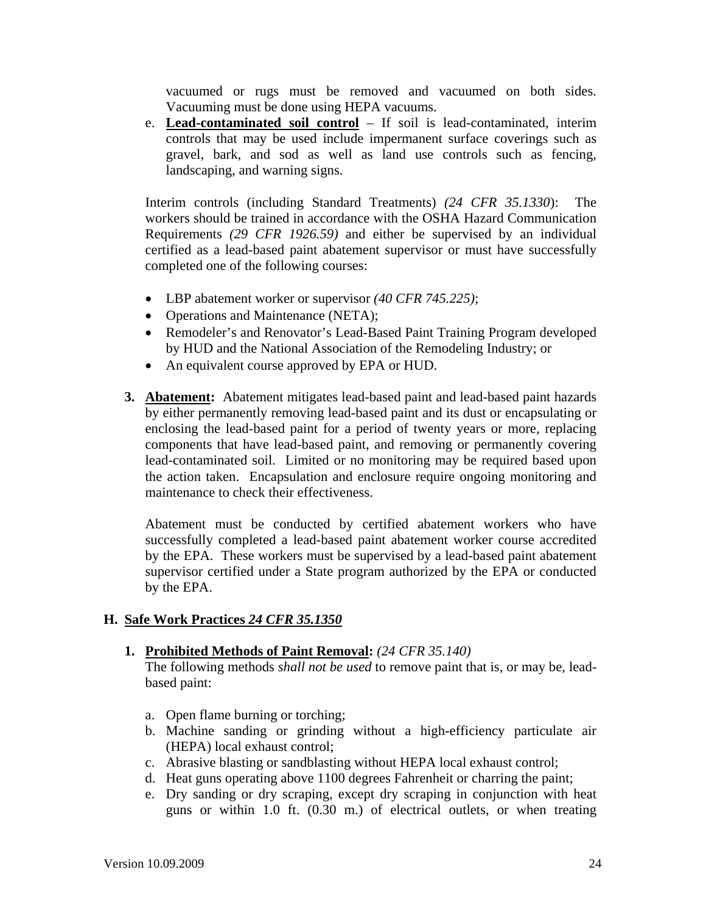vacuumed or rugs must be removed and vacuumed on both sides. Vacuuming must be done using HEPA vacuums.

e. **Lead-contaminated soil control** – If soil is lead-contaminated, interim controls that may be used include impermanent surface coverings such as gravel, bark, and sod as well as land use controls such as fencing, landscaping, and warning signs.

Interim controls (including Standard Treatments) *(24 CFR 35.1330*): The workers should be trained in accordance with the OSHA Hazard Communication Requirements *(29 CFR 1926.59)* and either be supervised by an individual certified as a lead-based paint abatement supervisor or must have successfully completed one of the following courses:

- LBP abatement worker or supervisor *(40 CFR 745.225)*;
- Operations and Maintenance (NETA);
- Remodeler's and Renovator's Lead-Based Paint Training Program developed by HUD and the National Association of the Remodeling Industry; or
- An equivalent course approved by EPA or HUD.
- **3. Abatement:** Abatement mitigates lead-based paint and lead-based paint hazards by either permanently removing lead-based paint and its dust or encapsulating or enclosing the lead-based paint for a period of twenty years or more, replacing components that have lead-based paint, and removing or permanently covering lead-contaminated soil. Limited or no monitoring may be required based upon the action taken. Encapsulation and enclosure require ongoing monitoring and maintenance to check their effectiveness.

 Abatement must be conducted by certified abatement workers who have successfully completed a lead-based paint abatement worker course accredited by the EPA. These workers must be supervised by a lead-based paint abatement supervisor certified under a State program authorized by the EPA or conducted by the EPA.

#### **H. Safe Work Practices** *24 CFR 35.1350*

#### **1. Prohibited Methods of Paint Removal:** *(24 CFR 35.140)*

 The following methods *shall not be used* to remove paint that is, or may be, leadbased paint:

- a. Open flame burning or torching;
- b. Machine sanding or grinding without a high-efficiency particulate air (HEPA) local exhaust control;
- c. Abrasive blasting or sandblasting without HEPA local exhaust control;
- d. Heat guns operating above 1100 degrees Fahrenheit or charring the paint;
- e. Dry sanding or dry scraping, except dry scraping in conjunction with heat guns or within 1.0 ft. (0.30 m.) of electrical outlets, or when treating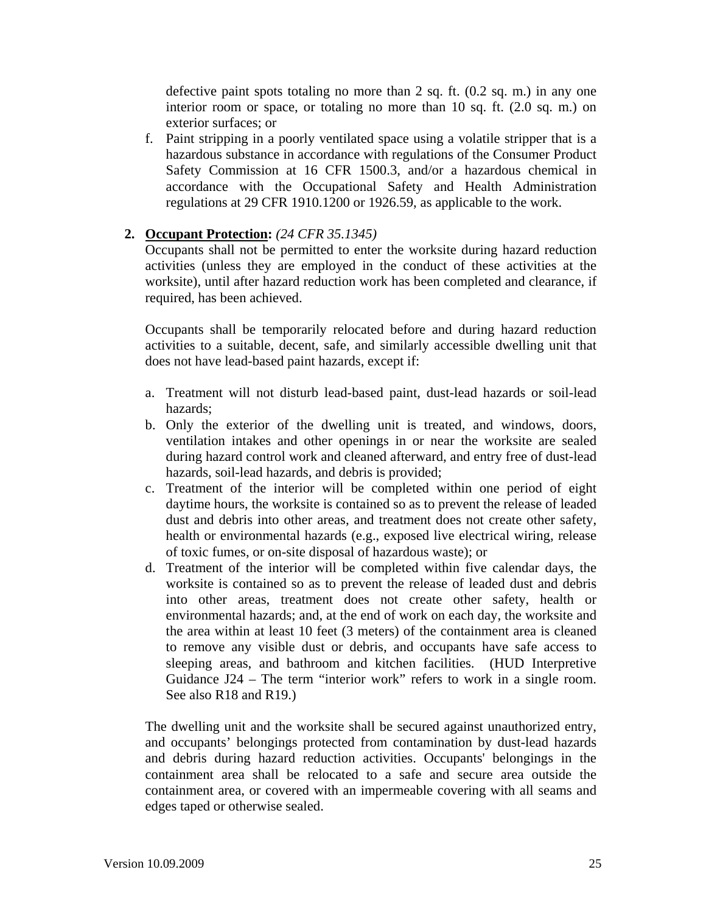defective paint spots totaling no more than 2 sq. ft. (0.2 sq. m.) in any one interior room or space, or totaling no more than 10 sq. ft. (2.0 sq. m.) on exterior surfaces; or

f. Paint stripping in a poorly ventilated space using a volatile stripper that is a hazardous substance in accordance with regulations of the Consumer Product Safety Commission at 16 CFR 1500.3, and/or a hazardous chemical in accordance with the Occupational Safety and Health Administration regulations at 29 CFR 1910.1200 or 1926.59, as applicable to the work.

# **2. Occupant Protection:** *(24 CFR 35.1345)*

Occupants shall not be permitted to enter the worksite during hazard reduction activities (unless they are employed in the conduct of these activities at the worksite), until after hazard reduction work has been completed and clearance, if required, has been achieved.

Occupants shall be temporarily relocated before and during hazard reduction activities to a suitable, decent, safe, and similarly accessible dwelling unit that does not have lead-based paint hazards, except if:

- a. Treatment will not disturb lead-based paint, dust-lead hazards or soil-lead hazards;
- b. Only the exterior of the dwelling unit is treated, and windows, doors, ventilation intakes and other openings in or near the worksite are sealed during hazard control work and cleaned afterward, and entry free of dust-lead hazards, soil-lead hazards, and debris is provided;
- c. Treatment of the interior will be completed within one period of eight daytime hours, the worksite is contained so as to prevent the release of leaded dust and debris into other areas, and treatment does not create other safety, health or environmental hazards (e.g., exposed live electrical wiring, release of toxic fumes, or on-site disposal of hazardous waste); or
- d. Treatment of the interior will be completed within five calendar days, the worksite is contained so as to prevent the release of leaded dust and debris into other areas, treatment does not create other safety, health or environmental hazards; and, at the end of work on each day, the worksite and the area within at least 10 feet (3 meters) of the containment area is cleaned to remove any visible dust or debris, and occupants have safe access to sleeping areas, and bathroom and kitchen facilities. (HUD Interpretive Guidance J24 – The term "interior work" refers to work in a single room. See also R18 and R19.)

The dwelling unit and the worksite shall be secured against unauthorized entry, and occupants' belongings protected from contamination by dust-lead hazards and debris during hazard reduction activities. Occupants' belongings in the containment area shall be relocated to a safe and secure area outside the containment area, or covered with an impermeable covering with all seams and edges taped or otherwise sealed.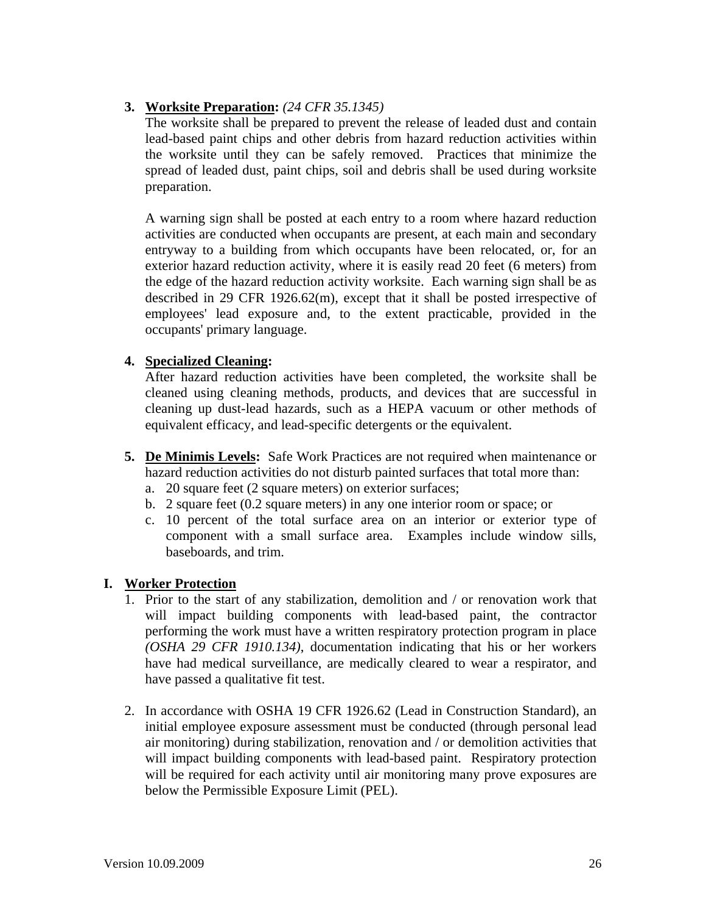# **3. Worksite Preparation:** *(24 CFR 35.1345)*

 The worksite shall be prepared to prevent the release of leaded dust and contain lead-based paint chips and other debris from hazard reduction activities within the worksite until they can be safely removed. Practices that minimize the spread of leaded dust, paint chips, soil and debris shall be used during worksite preparation.

 A warning sign shall be posted at each entry to a room where hazard reduction activities are conducted when occupants are present, at each main and secondary entryway to a building from which occupants have been relocated, or, for an exterior hazard reduction activity, where it is easily read 20 feet (6 meters) from the edge of the hazard reduction activity worksite. Each warning sign shall be as described in 29 CFR 1926.62(m), except that it shall be posted irrespective of employees' lead exposure and, to the extent practicable, provided in the occupants' primary language.

# **4. Specialized Cleaning:**

 After hazard reduction activities have been completed, the worksite shall be cleaned using cleaning methods, products, and devices that are successful in cleaning up dust-lead hazards, such as a HEPA vacuum or other methods of equivalent efficacy, and lead-specific detergents or the equivalent.

- **5. De Minimis Levels:** Safe Work Practices are not required when maintenance or hazard reduction activities do not disturb painted surfaces that total more than:
	- a. 20 square feet (2 square meters) on exterior surfaces;
	- b. 2 square feet (0.2 square meters) in any one interior room or space; or
	- c. 10 percent of the total surface area on an interior or exterior type of component with a small surface area. Examples include window sills, baseboards, and trim.

# **I. Worker Protection**

- 1. Prior to the start of any stabilization, demolition and / or renovation work that will impact building components with lead-based paint, the contractor performing the work must have a written respiratory protection program in place *(OSHA 29 CFR 1910.134)*, documentation indicating that his or her workers have had medical surveillance, are medically cleared to wear a respirator, and have passed a qualitative fit test.
- 2. In accordance with OSHA 19 CFR 1926.62 (Lead in Construction Standard), an initial employee exposure assessment must be conducted (through personal lead air monitoring) during stabilization, renovation and / or demolition activities that will impact building components with lead-based paint. Respiratory protection will be required for each activity until air monitoring many prove exposures are below the Permissible Exposure Limit (PEL).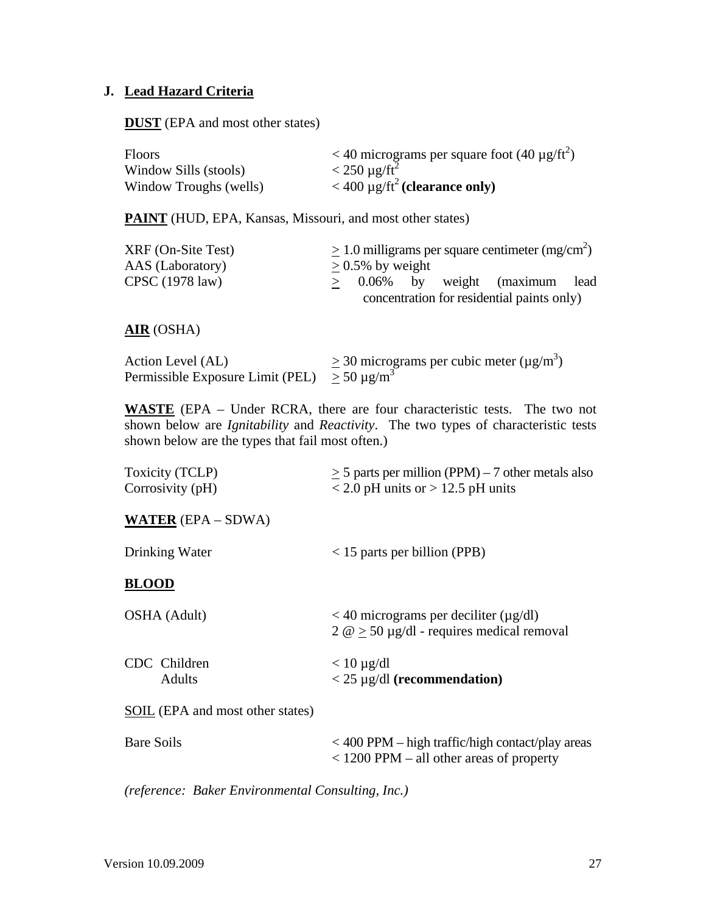# **J. Lead Hazard Criteria**

**DUST** (EPA and most other states)

| <b>Floors</b>          | $<$ 40 micrograms per square foot (40 µg/ft <sup>2</sup> ) |
|------------------------|------------------------------------------------------------|
| Window Sills (stools)  | $<$ 250 µg/ft <sup>2</sup>                                 |
| Window Troughs (wells) | $<$ 400 µg/ft <sup>2</sup> (clearance only)                |

PAINT (HUD, EPA, Kansas, Missouri, and most other states)

| $XRF$ (On-Site Test) |                     |  | $> 1.0$ milligrams per square centimeter (mg/cm <sup>2</sup> ) |  |
|----------------------|---------------------|--|----------------------------------------------------------------|--|
| AAS (Laboratory)     | $> 0.5\%$ by weight |  |                                                                |  |
| CPSC (1978 law)      |                     |  | $> 0.06\%$ by weight (maximum lead                             |  |
|                      |                     |  | concentration for residential paints only)                     |  |

# **AIR** (OSHA)

| Action Level (AL)                                      | $>$ 30 micrograms per cubic meter ( $\mu$ g/m <sup>3</sup> ) |
|--------------------------------------------------------|--------------------------------------------------------------|
| Permissible Exposure Limit (PEL) $\geq 50 \,\mu g/m^3$ |                                                              |

**WASTE** (EPA – Under RCRA, there are four characteristic tests. The two not shown below are *Ignitability* and *Reactivity*. The two types of characteristic tests shown below are the types that fail most often.)

| Toxicity (TCLP)<br>Corrosivity (pH) | $\geq$ 5 parts per million (PPM) – 7 other metals also<br>$<$ 2.0 pH units or $>$ 12.5 pH units      |
|-------------------------------------|------------------------------------------------------------------------------------------------------|
| <b>WATER</b> $(EPA - SDWA)$         |                                                                                                      |
| Drinking Water                      | $<$ 15 parts per billion (PPB)                                                                       |
| <b>BLOOD</b>                        |                                                                                                      |
| OSHA (Adult)                        | $<$ 40 micrograms per deciliter ( $\mu$ g/dl)<br>$2 \omega > 50 \mu g/dl$ - requires medical removal |
| CDC Children<br>Adults              | $< 10 \mu g/dl$<br>$<$ 25 µg/dl (recommendation)                                                     |
| SOIL (EPA and most other states)    |                                                                                                      |
| Bare Soils                          | $<$ 400 PPM – high traffic/high contact/play areas<br>$<$ 1200 PPM – all other areas of property     |

*(reference: Baker Environmental Consulting, Inc.)*